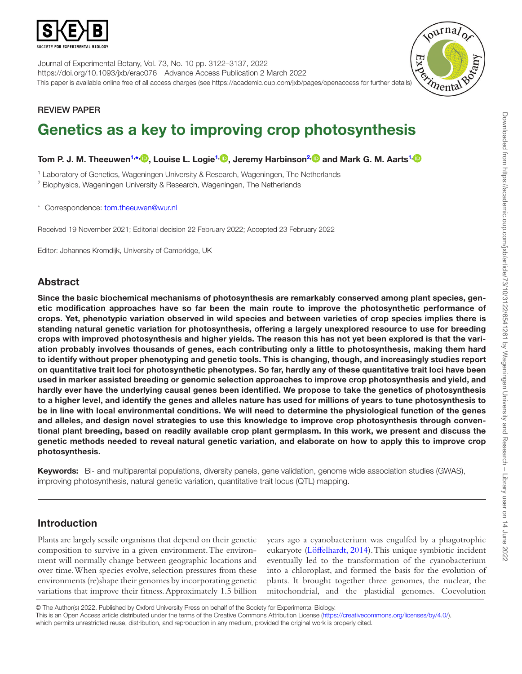

Journal of Experimental Botany, Vol. 73, No. 10 pp. 3122–3137, 2022 https://doi.org/10.1093/jxb/erac076 Advance Access Publication 2 March 2022 This paper is available online free of all access charges (see https://academic.oup.com/jxb/pages/openaccess for further details)



# REVIEW PAPER

# Genetics as a key to improving crop photosynthesis

Tom P. J. M. Theeuwen<sup>1,∗,</sup> D, Louise L. Logie<sup>1,</sup> D, Jeremy Harbinson<sup>2, D</sup> and Mark G. M. Aarts<sup>1,</sup>

<span id="page-0-0"></span><sup>1</sup> Laboratory of Genetics, Wageningen University & Research, Wageningen, The Netherlands

<span id="page-0-2"></span><sup>2</sup> Biophysics, Wageningen University & Research, Wageningen, The Netherlands

<span id="page-0-1"></span>\* Correspondence: [tom.theeuwen@wur.nl](mailto:tom.theeuwen@wur.nl?subject=)

Received 19 November 2021; Editorial decision 22 February 2022; Accepted 23 February 2022

Editor: Johannes Kromdijk, University of Cambridge, UK

# Abstract

Since the basic biochemical mechanisms of photosynthesis are remarkably conserved among plant species, genetic modification approaches have so far been the main route to improve the photosynthetic performance of crops. Yet, phenotypic variation observed in wild species and between varieties of crop species implies there is standing natural genetic variation for photosynthesis, offering a largely unexplored resource to use for breeding crops with improved photosynthesis and higher yields. The reason this has not yet been explored is that the variation probably involves thousands of genes, each contributing only a little to photosynthesis, making them hard to identify without proper phenotyping and genetic tools. This is changing, though, and increasingly studies report on quantitative trait loci for photosynthetic phenotypes. So far, hardly any of these quantitative trait loci have been used in marker assisted breeding or genomic selection approaches to improve crop photosynthesis and yield, and hardly ever have the underlying causal genes been identified. We propose to take the genetics of photosynthesis to a higher level, and identify the genes and alleles nature has used for millions of years to tune photosynthesis to be in line with local environmental conditions. We will need to determine the physiological function of the genes and alleles, and design novel strategies to use this knowledge to improve crop photosynthesis through conventional plant breeding, based on readily available crop plant germplasm. In this work, we present and discuss the genetic methods needed to reveal natural genetic variation, and elaborate on how to apply this to improve crop photosynthesis.

Keywords: Bi- and multiparental populations, diversity panels, gene validation, genome wide association studies (GWAS), improving photosynthesis, natural genetic variation, quantitative trait locus (QTL) mapping.

# Introduction

Plants are largely sessile organisms that depend on their genetic composition to survive in a given environment. The environment will normally change between geographic locations and over time. When species evolve, selection pressures from these environments (re)shape their genomes by incorporating genetic variations that improve their fitness. Approximately 1.5 billion years ago a cyanobacterium was engulfed by a phagotrophic eukaryote ([Löffelhardt, 2014\)](#page-13-0). This unique symbiotic incident eventually led to the transformation of the cyanobacterium into a chloroplast, and formed the basis for the evolution of plants. It brought together three genomes, the nuclear, the mitochondrial, and the plastidial genomes. Coevolution

<sup>©</sup> The Author(s) 2022. Published by Oxford University Press on behalf of the Society for Experimental Biology. This is an Open Access article distributed under the terms of the Creative Commons Attribution License (<https://creativecommons.org/licenses/by/4.0/>), which permits unrestricted reuse, distribution, and reproduction in any medium, provided the original work is properly cited.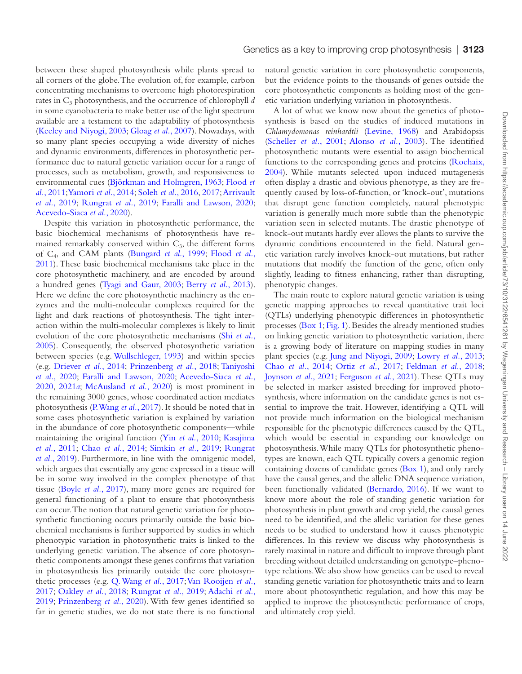between these shaped photosynthesis while plants spread to all corners of the globe. The evolution of, for example, carbon concentrating mechanisms to overcome high photorespiration rates in C<sub>3</sub> photosynthesis, and the occurrence of chlorophyll *d* in some cyanobacteria to make better use of the light spectrum available are a testament to the adaptability of photosynthesis [\(Keeley and Niyogi, 2003](#page-13-1); [Gloag](#page-13-2) *et al.*, 2007). Nowadays, with so many plant species occupying a wide diversity of niches and dynamic environments, differences in photosynthetic performance due to natural genetic variation occur for a range of processes, such as metabolism, growth, and responsiveness to environmental cues ([Björkman and Holmgren, 1963](#page-12-0); [Flood](#page-12-1) *et al.*[, 2011;](#page-12-1) [Yamori](#page-15-0) *et al.*, 2014; [Soleh](#page-14-0) *et al.*, 2016, [2017;](#page-14-1) [Arrivault](#page-12-2) *et al.*[, 2019;](#page-12-2) [Rungrat](#page-14-2) *et al.*, 2019; [Faralli and Lawson, 2020](#page-12-3); [Acevedo-Siaca](#page-11-0) *et al.*, 2020).

Despite this variation in photosynthetic performance, the basic biochemical mechanisms of photosynthesis have remained remarkably conserved within  $C_3$ , the different forms of C4, and CAM plants [\(Bungard](#page-12-4) *et al*., 1999; [Flood](#page-12-1) *et al.*, [2011\)](#page-12-1). These basic biochemical mechanisms take place in the core photosynthetic machinery, and are encoded by around a hundred genes ([Tyagi and Gaur, 2003;](#page-14-3) [Berry](#page-12-5) *et al.*, 2013). Here we define the core photosynthetic machinery as the enzymes and the multi-molecular complexes required for the light and dark reactions of photosynthesis. The tight interaction within the multi-molecular complexes is likely to limit evolution of the core photosynthetic mechanisms (Shi *[et al.](#page-14-4)*, [2005\)](#page-14-4). Consequently, the observed photosynthetic variation between species (e.g. [Wullschleger, 1993\)](#page-15-1) and within species (e.g. [Driever](#page-12-6) *et al.*, 2014; [Prinzenberg](#page-14-5) *et al.*, 2018; [Taniyoshi](#page-14-6) *et al.*[, 2020](#page-14-6); [Faralli and Lawson, 2020](#page-12-3); [Acevedo-Siaca](#page-11-0) *et al.*, [2020,](#page-11-0) [2021](#page-11-1)*a*; [McAusland](#page-13-3) *et al.*, 2020) is most prominent in the remaining 3000 genes, whose coordinated action mediates photosynthesis [\(P. Wang](#page-14-7) *et al.*, 2017). It should be noted that in some cases photosynthetic variation is explained by variation in the abundance of core photosynthetic components—while maintaining the original function (Yin *et al.*[, 2010;](#page-15-2) [Kasajima](#page-13-4) *et al.*[, 2011](#page-13-4); Chao *et al.*[, 2014;](#page-12-7) [Simkin](#page-14-8) *et al.*, 2019; [Rungrat](#page-14-2) *et al.*[, 2019](#page-14-2)). Furthermore, in line with the omnigenic model, which argues that essentially any gene expressed in a tissue will be in some way involved in the complex phenotype of that tissue [\(Boyle](#page-12-8) *et al.*, 2017), many more genes are required for general functioning of a plant to ensure that photosynthesis can occur. The notion that natural genetic variation for photosynthetic functioning occurs primarily outside the basic biochemical mechanisms is further supported by studies in which phenotypic variation in photosynthetic traits is linked to the underlying genetic variation. The absence of core photosynthetic components amongst these genes confirms that variation in photosynthesis lies primarily outside the core photosynthetic processes (e.g. [Q. Wang](#page-14-9) *et al.*, 2017; [Van Rooijen](#page-14-10) *et al.*, [2017;](#page-14-10) [Oakley](#page-14-11) *et al.*, 2018; [Rungrat](#page-14-2) *et al.*, 2019; [Adachi](#page-11-2) *et al.*, [2019;](#page-11-2) [Prinzenberg](#page-14-12) *et al.*, 2020). With few genes identified so far in genetic studies, we do not state there is no functional natural genetic variation in core photosynthetic components, but the evidence points to the thousands of genes outside the core photosynthetic components as holding most of the genetic variation underlying variation in photosynthesis.

A lot of what we know now about the genetics of photosynthesis is based on the studies of induced mutations in *Chlamydomonas reinhardtii* ([Levine, 1968](#page-13-5)) and Arabidopsis [\(Scheller](#page-14-13) *et al.*, 2001; [Alonso](#page-12-9) *et al.*, 2003). The identified photosynthetic mutants were essential to assign biochemical functions to the corresponding genes and proteins [\(Rochaix,](#page-14-14) [2004\)](#page-14-14). While mutants selected upon induced mutagenesis often display a drastic and obvious phenotype, as they are frequently caused by loss-of-function, or 'knock-out', mutations that disrupt gene function completely, natural phenotypic variation is generally much more subtle than the phenotypic variation seen in selected mutants. The drastic phenotype of knock-out mutants hardly ever allows the plants to survive the dynamic conditions encountered in the field. Natural genetic variation rarely involves knock-out mutations, but rather mutations that modify the function of the gene, often only slightly, leading to fitness enhancing, rather than disrupting, phenotypic changes.

The main route to explore natural genetic variation is using genetic mapping approaches to reveal quantitative trait loci (QTLs) underlying phenotypic differences in photosynthetic processes ([Box 1](#page-2-0); [Fig. 1](#page-3-0)). Besides the already mentioned studies on linking genetic variation to photosynthetic variation, there is a growing body of literature on mapping studies in many plant species (e.g. [Jung and Niyogi, 2009;](#page-13-6) [Lowry](#page-13-7) *et al.*, 2013; Chao *et al.*[, 2014](#page-12-7); Ortiz *et al.*[, 2017](#page-14-15); [Feldman](#page-12-10) *et al.*, 2018; [Joynson](#page-13-8) *et al.*, 2021; [Ferguson](#page-12-11) *et al.*, 2021). These QTLs may be selected in marker assisted breeding for improved photosynthesis, where information on the candidate genes is not essential to improve the trait. However, identifying a QTL will not provide much information on the biological mechanism responsible for the phenotypic differences caused by the QTL, which would be essential in expanding our knowledge on photosynthesis. While many QTLs for photosynthetic phenotypes are known, each QTL typically covers a genomic region containing dozens of candidate genes [\(Box 1](#page-2-0)), and only rarely have the causal genes, and the allelic DNA sequence variation, been functionally validated [\(Bernardo, 2016](#page-12-12)). If we want to know more about the role of standing genetic variation for photosynthesis in plant growth and crop yield, the causal genes need to be identified, and the allelic variation for these genes needs to be studied to understand how it causes phenotypic differences. In this review we discuss why photosynthesis is rarely maximal in nature and difficult to improve through plant breeding without detailed understanding on genotype–phenotype relations. We also show how genetics can be used to reveal standing genetic variation for photosynthetic traits and to learn more about photosynthetic regulation, and how this may be applied to improve the photosynthetic performance of crops, and ultimately crop yield.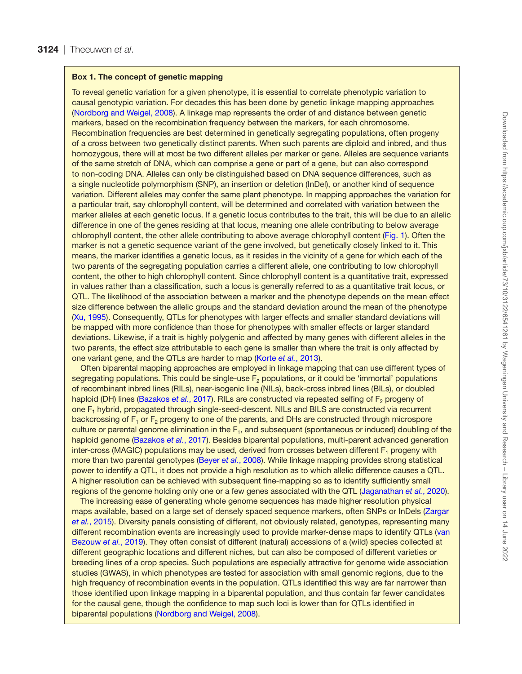#### <span id="page-2-0"></span>Box 1. The concept of genetic mapping

To reveal genetic variation for a given phenotype, it is essential to correlate phenotypic variation to causal genotypic variation. For decades this has been done by genetic linkage mapping approaches ([Nordborg and Weigel, 2008](#page-14-16)). A linkage map represents the order of and distance between genetic markers, based on the recombination frequency between the markers, for each chromosome. Recombination frequencies are best determined in genetically segregating populations, often progeny of a cross between two genetically distinct parents. When such parents are diploid and inbred, and thus homozygous, there will at most be two different alleles per marker or gene. Alleles are sequence variants of the same stretch of DNA, which can comprise a gene or part of a gene, but can also correspond to non-coding DNA. Alleles can only be distinguished based on DNA sequence differences, such as a single nucleotide polymorphism (SNP), an insertion or deletion (InDel), or another kind of sequence variation. Different alleles may confer the same plant phenotype. In mapping approaches the variation for a particular trait, say chlorophyll content, will be determined and correlated with variation between the marker alleles at each genetic locus. If a genetic locus contributes to the trait, this will be due to an allelic difference in one of the genes residing at that locus, meaning one allele contributing to below average chlorophyll content, the other allele contributing to above average chlorophyll content ([Fig. 1](#page-3-0)). Often the marker is not a genetic sequence variant of the gene involved, but genetically closely linked to it. This means, the marker identifies a genetic locus, as it resides in the vicinity of a gene for which each of the two parents of the segregating population carries a different allele, one contributing to low chlorophyll content, the other to high chlorophyll content. Since chlorophyll content is a quantitative trait, expressed in values rather than a classification, such a locus is generally referred to as a quantitative trait locus, or QTL. The likelihood of the association between a marker and the phenotype depends on the mean effect size difference between the allelic groups and the standard deviation around the mean of the phenotype ([Xu, 1995](#page-15-3)). Consequently, QTLs for phenotypes with larger effects and smaller standard deviations will be mapped with more confidence than those for phenotypes with smaller effects or larger standard deviations. Likewise, if a trait is highly polygenic and affected by many genes with different alleles in the two parents, the effect size attributable to each gene is smaller than where the trait is only affected by one variant gene, and the QTLs are harder to map (Korte *et al.*[, 2013\)](#page-13-9).

Often biparental mapping approaches are employed in linkage mapping that can use different types of segregating populations. This could be single-use  $F<sub>2</sub>$  populations, or it could be 'immortal' populations of recombinant inbred lines (RILs), near-isogenic line (NILs), back-cross inbred lines (BILs), or doubled haploid (DH) lines [\(Bazakos](#page-12-13) et al., 2017). RILs are constructed via repeated selfing of F<sub>2</sub> progeny of one F1 hybrid, propagated through single-seed-descent. NILs and BILS are constructed via recurrent backcrossing of  $F_1$  or  $F_2$  progeny to one of the parents, and DHs are constructed through microspore culture or parental genome elimination in the  $F_1$ , and subsequent (spontaneous or induced) doubling of the haploid genome [\(Bazakos](#page-12-13) *et al.*, 2017). Besides biparental populations, multi-parent advanced generation inter-cross (MAGIC) populations may be used, derived from crosses between different  $F_1$  progeny with more than two parental genotypes [\(Beyer](#page-12-14) *et al.*, 2008). While linkage mapping provides strong statistical power to identify a QTL, it does not provide a high resolution as to which allelic difference causes a QTL. A higher resolution can be achieved with subsequent fine-mapping so as to identify sufficiently small regions of the genome holding only one or a few genes associated with the QTL [\(Jaganathan](#page-13-10) *et al.*, 2020).

The increasing ease of generating whole genome sequences has made higher resolution physical maps available, based on a large set of densely spaced sequence markers, often SNPs or InDels [\(Zargar](#page-15-4)  *et al.*[, 2015](#page-15-4)). Diversity panels consisting of different, not obviously related, genotypes, representing many different recombination events are increasingly used to provide marker-dense maps to identify QTLs ([van](#page-14-17)  [Bezouw](#page-14-17) *et al.*, 2019). They often consist of different (natural) accessions of a (wild) species collected at different geographic locations and different niches, but can also be composed of different varieties or breeding lines of a crop species. Such populations are especially attractive for genome wide association studies (GWAS), in which phenotypes are tested for association with small genomic regions, due to the high frequency of recombination events in the population. QTLs identified this way are far narrower than those identified upon linkage mapping in a biparental population, and thus contain far fewer candidates for the causal gene, though the confidence to map such loci is lower than for QTLs identified in biparental populations [\(Nordborg and Weigel, 2008](#page-14-16)).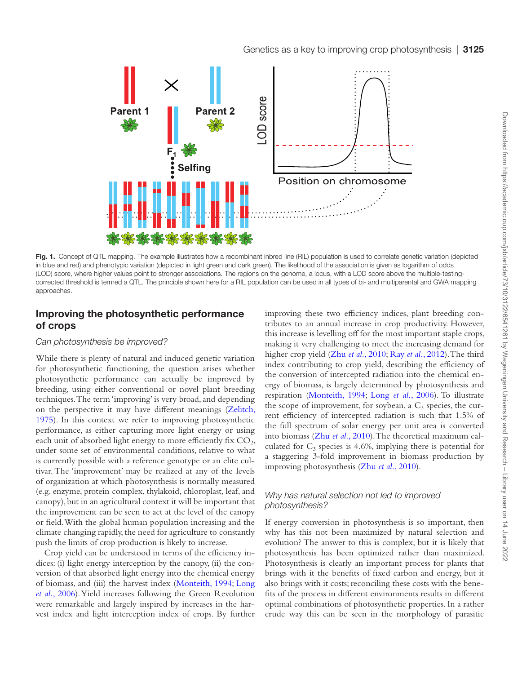

<span id="page-3-0"></span>Fig. 1. Concept of QTL mapping. The example illustrates how a recombinant inbred line (RIL) population is used to correlate genetic variation (depicted in blue and red) and phenotypic variation (depicted in light green and dark green). The likelihood of the association is given as logarithm of odds (LOD) score, where higher values point to stronger associations. The regions on the genome, a locus, with a LOD score above the multiple-testingcorrected threshold is termed a QTL. The principle shown here for a RIL population can be used in all types of bi- and multiparental and GWA mapping approaches.

# Improving the photosynthetic performance of crops

#### *Can photosynthesis be improved?*

While there is plenty of natural and induced genetic variation for photosynthetic functioning, the question arises whether photosynthetic performance can actually be improved by breeding, using either conventional or novel plant breeding techniques. The term 'improving' is very broad, and depending on the perspective it may have different meanings [\(Zelitch,](#page-15-5) [1975\)](#page-15-5). In this context we refer to improving photosynthetic performance, as either capturing more light energy or using each unit of absorbed light energy to more efficiently fix  $CO<sub>2</sub>$ , under some set of environmental conditions, relative to what is currently possible with a reference genotype or an elite cultivar. The 'improvement' may be realized at any of the levels of organization at which photosynthesis is normally measured (e.g. enzyme, protein complex, thylakoid, chloroplast, leaf, and canopy), but in an agricultural context it will be important that the improvement can be seen to act at the level of the canopy or field. With the global human population increasing and the climate changing rapidly, the need for agriculture to constantly push the limits of crop production is likely to increase.

Crop yield can be understood in terms of the efficiency indices: (i) light energy interception by the canopy, (ii) the conversion of that absorbed light energy into the chemical energy of biomass, and (iii) the harvest index ([Monteith, 1994](#page-13-11); [Long](#page-13-12) *et al.*[, 2006](#page-13-12)). Yield increases following the Green Revolution were remarkable and largely inspired by increases in the harvest index and light interception index of crops. By further improving these two efficiency indices, plant breeding contributes to an annual increase in crop productivity. However, this increase is levelling off for the most important staple crops, making it very challenging to meet the increasing demand for higher crop yield (Zhu *et al.*[, 2010;](#page-15-6) Ray *et al.*[, 2012\)](#page-14-18). The third index contributing to crop yield, describing the efficiency of the conversion of intercepted radiation into the chemical energy of biomass, is largely determined by photosynthesis and respiration [\(Monteith, 1994;](#page-13-11) Long *et al.*[, 2006](#page-13-12)). To illustrate the scope of improvement, for soybean, a  $C_3$  species, the current efficiency of intercepted radiation is such that 1.5% of the full spectrum of solar energy per unit area is converted into biomass (Zhu *et al.*[, 2010](#page-15-6)). The theoretical maximum calculated for  $C_3$  species is 4.6%, implying there is potential for a staggering 3-fold improvement in biomass production by improving photosynthesis (Zhu *et al.*[, 2010](#page-15-6)).

## *Why has natural selection not led to improved photosynthesis?*

If energy conversion in photosynthesis is so important, then why has this not been maximized by natural selection and evolution? The answer to this is complex, but it is likely that photosynthesis has been optimized rather than maximized. Photosynthesis is clearly an important process for plants that brings with it the benefits of fixed carbon and energy, but it also brings with it costs; reconciling these costs with the benefits of the process in different environments results in different optimal combinations of photosynthetic properties. In a rather crude way this can be seen in the morphology of parasitic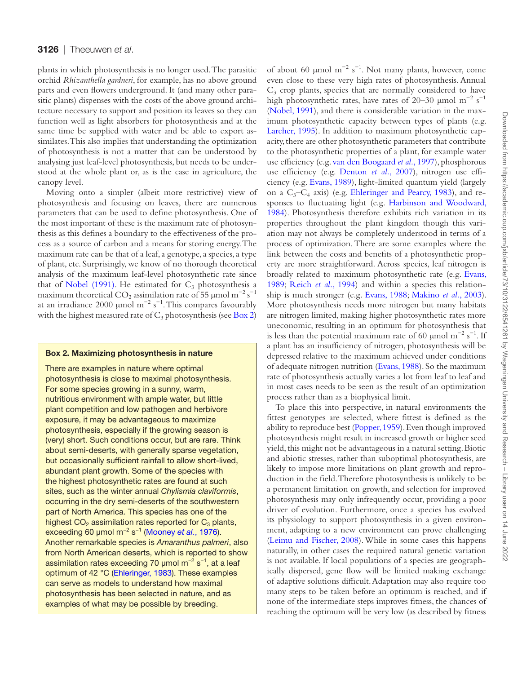#### 3126 | Theeuwen *et al*.

plants in which photosynthesis is no longer used. The parasitic orchid *Rhizanthella gardneri*, for example, has no above ground parts and even flowers underground. It (and many other parasitic plants) dispenses with the costs of the above ground architecture necessary to support and position its leaves so they can function well as light absorbers for photosynthesis and at the same time be supplied with water and be able to export assimilates. This also implies that understanding the optimization of photosynthesis is not a matter that can be understood by analysing just leaf-level photosynthesis, but needs to be understood at the whole plant or, as is the case in agriculture, the canopy level.

Moving onto a simpler (albeit more restrictive) view of photosynthesis and focusing on leaves, there are numerous parameters that can be used to define photosynthesis. One of the most important of these is the maximum rate of photosynthesis as this defines a boundary to the effectiveness of the process as a source of carbon and a means for storing energy. The maximum rate can be that of a leaf, a genotype, a species, a type of plant, etc. Surprisingly, we know of no thorough theoretical analysis of the maximum leaf-level photosynthetic rate since that of [Nobel \(1991\).](#page-13-13) He estimated for  $C_3$  photosynthesis a maximum theoretical CO<sub>2</sub> assimilation rate of 55 µmol m<sup>-2</sup> s<sup>-1</sup> at an irradiance 2000 µmol m<sup>-2</sup> s<sup>-1</sup>. This compares favourably with the highest measured rate of  $C_3$  photosynthesis (see [Box 2](#page-4-0))

#### <span id="page-4-0"></span>Box 2. Maximizing photosynthesis in nature

There are examples in nature where optimal photosynthesis is close to maximal photosynthesis. For some species growing in a sunny, warm, nutritious environment with ample water, but little plant competition and low pathogen and herbivore exposure, it may be advantageous to maximize photosynthesis, especially if the growing season is (very) short. Such conditions occur, but are rare. Think about semi-deserts, with generally sparse vegetation, but occasionally sufficient rainfall to allow short-lived, abundant plant growth. Some of the species with the highest photosynthetic rates are found at such sites, such as the winter annual *Chylismia claviformis*, occurring in the dry semi-deserts of the southwestern part of North America. This species has one of the highest  $CO<sub>2</sub>$  assimilation rates reported for  $C<sub>3</sub>$  plants, exceeding 60 μmol m−2 s−1 [\(Mooney](#page-13-18) *et al.*, 1976). Another remarkable species is *Amaranthus palmeri*, also from North American deserts, which is reported to show assimilation rates exceeding 70 μmol m−2 s−1, at a leaf optimum of 42 °C [\(Ehleringer, 1983\)](#page-12-19). These examples can serve as models to understand how maximal photosynthesis has been selected in nature, and as examples of what may be possible by breeding.

of about 60 µmol m<sup>-2</sup> s<sup>-1</sup>. Not many plants, however, come even close to these very high rates of photosynthesis. Annual  $C_3$  crop plants, species that are normally considered to have high photosynthetic rates, have rates of 20–30 µmol m<sup>-2</sup> s<sup>-1</sup> [\(Nobel, 1991](#page-13-13)), and there is considerable variation in the maximum photosynthetic capacity between types of plants (e.g. [Larcher, 1995](#page-13-14)). In addition to maximum photosynthetic capacity, there are other photosynthetic parameters that contribute to the photosynthetic properties of a plant, for example water use efficiency (e.g. [van den Boogaard](#page-14-19) *et al.*, 1997), phosphorous use efficiency (e.g. [Denton](#page-12-15) *et al.*, 2007), nitrogen use efficiency (e.g. [Evans, 1989\)](#page-12-16), light-limited quantum yield (largely on a  $C_3-C_4$  axis) (e.g. [Ehleringer and Pearcy, 1983](#page-12-17)), and responses to fluctuating light (e.g. [Harbinson and Woodward,](#page-13-15) [1984\)](#page-13-15). Photosynthesis therefore exhibits rich variation in its properties throughout the plant kingdom though this variation may not always be completely understood in terms of a process of optimization. There are some examples where the link between the costs and benefits of a photosynthetic property are more straightforward. Across species, leaf nitrogen is broadly related to maximum photosynthetic rate (e.g. [Evans,](#page-12-16) [1989;](#page-12-16) [Reich](#page-14-20) *et al.*, 1994) and within a species this relationship is much stronger (e.g. [Evans, 1988;](#page-12-18) [Makino](#page-13-16) *et al.*, 2003). More photosynthesis needs more nitrogen but many habitats are nitrogen limited, making higher photosynthetic rates more uneconomic, resulting in an optimum for photosynthesis that is less than the potential maximum rate of 60 µmol  $m^{-2} s^{-1}$ . If a plant has an insufficiency of nitrogen, photosynthesis will be depressed relative to the maximum achieved under conditions of adequate nitrogen nutrition [\(Evans, 1988\)](#page-12-18). So the maximum rate of photosynthesis actually varies a lot from leaf to leaf and in most cases needs to be seen as the result of an optimization process rather than as a biophysical limit.

To place this into perspective, in natural environments the fittest genotypes are selected, where fittest is defined as the ability to reproduce best [\(Popper, 1959\)](#page-14-21). Even though improved photosynthesis might result in increased growth or higher seed yield, this might not be advantageous in a natural setting. Biotic and abiotic stresses, rather than suboptimal photosynthesis, are likely to impose more limitations on plant growth and reproduction in the field. Therefore photosynthesis is unlikely to be a permanent limitation on growth, and selection for improved photosynthesis may only infrequently occur, providing a poor driver of evolution. Furthermore, once a species has evolved its physiology to support photosynthesis in a given environment, adapting to a new environment can prove challenging [\(Leimu and Fischer, 2008\)](#page-13-17). While in some cases this happens naturally, in other cases the required natural genetic variation is not available. If local populations of a species are geographically dispersed, gene flow will be limited making exchange of adaptive solutions difficult. Adaptation may also require too many steps to be taken before an optimum is reached, and if none of the intermediate steps improves fitness, the chances of reaching the optimum will be very low (as described by fitness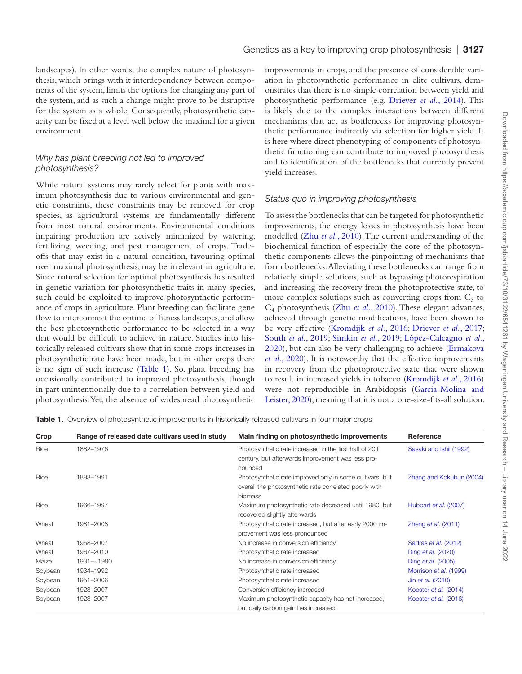landscapes). In other words, the complex nature of photosynthesis, which brings with it interdependency between components of the system, limits the options for changing any part of the system, and as such a change might prove to be disruptive for the system as a whole. Consequently, photosynthetic capacity can be fixed at a level well below the maximal for a given environment.

#### *Why has plant breeding not led to improved photosynthesis?*

While natural systems may rarely select for plants with maximum photosynthesis due to various environmental and genetic constraints, these constraints may be removed for crop species, as agricultural systems are fundamentally different from most natural environments. Environmental conditions impairing production are actively minimized by watering, fertilizing, weeding, and pest management of crops. Tradeoffs that may exist in a natural condition, favouring optimal over maximal photosynthesis, may be irrelevant in agriculture. Since natural selection for optimal photosynthesis has resulted in genetic variation for photosynthetic traits in many species, such could be exploited to improve photosynthetic performance of crops in agriculture. Plant breeding can facilitate gene flow to interconnect the optima of fitness landscapes, and allow the best photosynthetic performance to be selected in a way that would be difficult to achieve in nature. Studies into historically released cultivars show that in some crops increases in photosynthetic rate have been made, but in other crops there is no sign of such increase ([Table 1\)](#page-5-0). So, plant breeding has occasionally contributed to improved photosynthesis, though in part unintentionally due to a correlation between yield and photosynthesis. Yet, the absence of widespread photosynthetic

improvements in crops, and the presence of considerable variation in photosynthetic performance in elite cultivars, demonstrates that there is no simple correlation between yield and photosynthetic performance (e.g. [Driever](#page-12-6) *et al.*, 2014). This is likely due to the complex interactions between different mechanisms that act as bottlenecks for improving photosynthetic performance indirectly via selection for higher yield. It is here where direct phenotyping of components of photosynthetic functioning can contribute to improved photosynthesis and to identification of the bottlenecks that currently prevent yield increases.

#### *Status quo in improving photosynthesis*

To assess the bottlenecks that can be targeted for photosynthetic improvements, the energy losses in photosynthesis have been modelled (Zhu *et al.*[, 2010](#page-15-6)). The current understanding of the biochemical function of especially the core of the photosynthetic components allows the pinpointing of mechanisms that form bottlenecks. Alleviating these bottlenecks can range from relatively simple solutions, such as bypassing photorespiration and increasing the recovery from the photoprotective state, to more complex solutions such as converting crops from  $C_3$  to C4 photosynthesis (Zhu *et al.*[, 2010](#page-15-6)). These elegant advances, achieved through genetic modifications, have been shown to be very effective [\(Kromdijk](#page-13-19) *et al.*, 2016; [Driever](#page-12-20) *et al.*, 2017; [South](#page-14-22) *et al.*, 2019; [Simkin](#page-14-8) *et al.*, 2019; [López-Calcagno](#page-13-20) *et al.*, [2020\)](#page-13-20), but can also be very challenging to achieve [\(Ermakova](#page-12-21)  *et al.*[, 2020](#page-12-21)). It is noteworthy that the effective improvements in recovery from the photoprotective state that were shown to result in increased yields in tobacco ([Kromdijk](#page-13-19) *et al.*, 2016) were not reproducible in Arabidopsis [\(Garcia-Molina and](#page-13-21)  [Leister, 2020\)](#page-13-21), meaning that it is not a one-size-fits-all solution.

<span id="page-5-0"></span>**Table 1.** Overview of photosynthetic improvements in historically released cultivars in four major crops

| Crop    | Range of released date cultivars used in study | Main finding on photosynthetic improvements                                                                                   | Reference                   |
|---------|------------------------------------------------|-------------------------------------------------------------------------------------------------------------------------------|-----------------------------|
| Rice    | 1882-1976                                      | Photosynthetic rate increased in the first half of 20th<br>century, but afterwards improvement was less pro-<br>nounced       | Sasaki and Ishii (1992)     |
| Rice    | 1893-1991                                      | Photosynthetic rate improved only in some cultivars, but<br>overall the photosynthetic rate correlated poorly with<br>biomass | Zhang and Kokubun (2004)    |
| Rice    | 1966-1997                                      | Maximum photosynthetic rate decreased until 1980, but<br>recovered slightly afterwards                                        | Hubbart et al. (2007)       |
| Wheat   | 1981-2008                                      | Photosynthetic rate increased, but after early 2000 im-<br>provement was less pronounced                                      | Zheng et al. $(2011)$       |
| Wheat   | 1958-2007                                      | No increase in conversion efficiency                                                                                          | Sadras <i>et al.</i> (2012) |
| Wheat   | 1967-2010                                      | Photosynthetic rate increased                                                                                                 | Ding et al. (2020)          |
| Maize   | 1931-~1990                                     | No increase in conversion efficiency                                                                                          | Ding <i>et al.</i> (2005)   |
| Soybean | 1934-1992                                      | Photosynthetic rate increased                                                                                                 | Morrison et al. (1999)      |
| Soybean | 1951-2006                                      | Photosynthetic rate increased                                                                                                 | Jin et al. (2010)           |
| Soybean | 1923-2007                                      | Conversion efficiency increased                                                                                               | Koester et al. (2014)       |
| Soybean | 1923-2007                                      | Maximum photosynthetic capacity has not increased,<br>but daily carbon gain has increased                                     | Koester et al. (2016)       |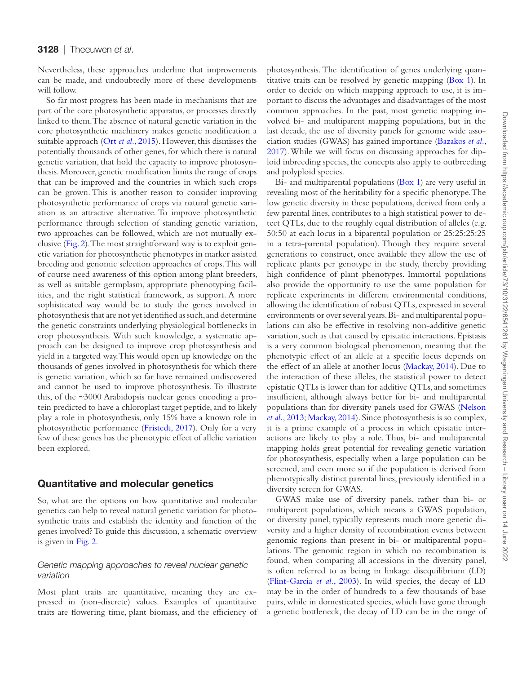Nevertheless, these approaches underline that improvements can be made, and undoubtedly more of these developments will follow.

So far most progress has been made in mechanisms that are part of the core photosynthetic apparatus, or processes directly linked to them. The absence of natural genetic variation in the core photosynthetic machinery makes genetic modification a suitable approach (Ort *et al.*[, 2015\)](#page-14-25). However, this dismisses the potentially thousands of other genes, for which there is natural genetic variation, that hold the capacity to improve photosynthesis. Moreover, genetic modification limits the range of crops that can be improved and the countries in which such crops can be grown. This is another reason to consider improving photosynthetic performance of crops via natural genetic variation as an attractive alternative. To improve photosynthetic performance through selection of standing genetic variation, two approaches can be followed, which are not mutually exclusive [\(Fig. 2\)](#page-7-0). The most straightforward way is to exploit genetic variation for photosynthetic phenotypes in marker assisted breeding and genomic selection approaches of crops. This will of course need awareness of this option among plant breeders, as well as suitable germplasm, appropriate phenotyping facilities, and the right statistical framework, as support. A more sophisticated way would be to study the genes involved in photosynthesis that are not yet identified as such, and determine the genetic constraints underlying physiological bottlenecks in crop photosynthesis. With such knowledge, a systematic approach can be designed to improve crop photosynthesis and yield in a targeted way. This would open up knowledge on the thousands of genes involved in photosynthesis for which there is genetic variation, which so far have remained undiscovered and cannot be used to improve photosynthesis. To illustrate this, of the ~3000 Arabidopsis nuclear genes encoding a protein predicted to have a chloroplast target peptide, and to likely play a role in photosynthesis, only 15% have a known role in photosynthetic performance [\(Fristedt, 2017](#page-12-24)). Only for a very few of these genes has the phenotypic effect of allelic variation been explored.

## Quantitative and molecular genetics

So, what are the options on how quantitative and molecular genetics can help to reveal natural genetic variation for photosynthetic traits and establish the identity and function of the genes involved? To guide this discussion, a schematic overview is given in [Fig. 2.](#page-7-0)

#### *Genetic mapping approaches to reveal nuclear genetic variation*

Most plant traits are quantitative, meaning they are expressed in (non-discrete) values. Examples of quantitative traits are flowering time, plant biomass, and the efficiency of photosynthesis. The identification of genes underlying quantitative traits can be resolved by genetic mapping [\(Box 1\)](#page-2-0). In order to decide on which mapping approach to use, it is important to discuss the advantages and disadvantages of the most common approaches. In the past, most genetic mapping involved bi- and multiparent mapping populations, but in the last decade, the use of diversity panels for genome wide association studies (GWAS) has gained importance ([Bazakos](#page-12-13) *et al.*, [2017\)](#page-12-13). While we will focus on discussing approaches for diploid inbreeding species, the concepts also apply to outbreeding and polyploid species.

Bi- and multiparental populations ([Box 1\)](#page-2-0) are very useful in revealing most of the heritability for a specific phenotype. The low genetic diversity in these populations, derived from only a few parental lines, contributes to a high statistical power to detect QTLs, due to the roughly equal distribution of alleles (e.g. 50:50 at each locus in a biparental population or 25:25:25:25 in a tetra-parental population). Though they require several generations to construct, once available they allow the use of replicate plants per genotype in the study, thereby providing high confidence of plant phenotypes. Immortal populations also provide the opportunity to use the same population for replicate experiments in different environmental conditions, allowing the identification of robust QTLs, expressed in several environments or over several years. Bi- and multiparental populations can also be effective in resolving non-additive genetic variation, such as that caused by epistatic interactions. Epistasis is a very common biological phenomenon, meaning that the phenotypic effect of an allele at a specific locus depends on the effect of an allele at another locus [\(Mackay, 2014\)](#page-13-27). Due to the interaction of these alleles, the statistical power to detect epistatic QTLs is lower than for additive QTLs, and sometimes insufficient, although always better for bi- and multiparental populations than for diversity panels used for GWAS ([Nelson](#page-13-28) *et al.*[, 2013;](#page-13-28) [Mackay, 2014](#page-13-27)). Since photosynthesis is so complex, it is a prime example of a process in which epistatic interactions are likely to play a role. Thus, bi- and multiparental mapping holds great potential for revealing genetic variation for photosynthesis, especially when a large population can be screened, and even more so if the population is derived from phenotypically distinct parental lines, previously identified in a diversity screen for GWAS.

GWAS make use of diversity panels, rather than bi- or multiparent populations, which means a GWAS population, or diversity panel, typically represents much more genetic diversity and a higher density of recombination events between genomic regions than present in bi- or multiparental populations. The genomic region in which no recombination is found, when comparing all accessions in the diversity panel, is often referred to as being in linkage disequilibrium (LD) [\(Flint-Garcia](#page-12-25) *et al.*, 2003). In wild species, the decay of LD may be in the order of hundreds to a few thousands of base pairs, while in domesticated species, which have gone through a genetic bottleneck, the decay of LD can be in the range of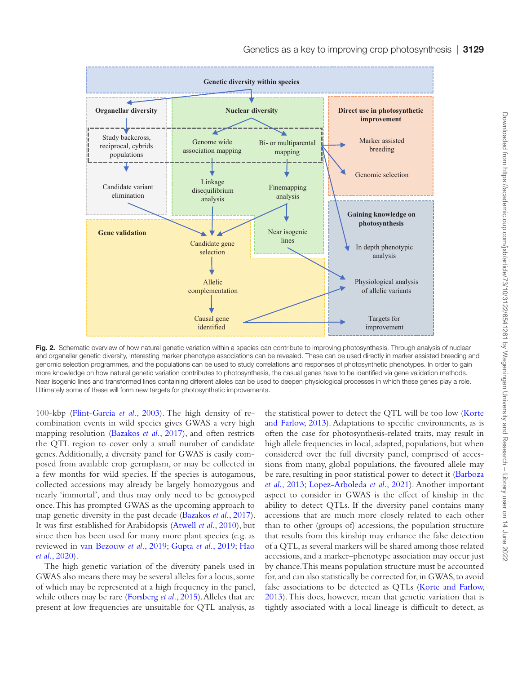

<span id="page-7-0"></span>Fig. 2. Schematic overview of how natural genetic variation within a species can contribute to improving photosynthesis. Through analysis of nuclear and organellar genetic diversity, interesting marker phenotype associations can be revealed. These can be used directly in marker assisted breeding and genomic selection programmes, and the populations can be used to study correlations and responses of photosynthetic phenotypes. In order to gain more knowledge on how natural genetic variation contributes to photosynthesis, the casual genes have to be identified via gene validation methods. Near isogenic lines and transformed lines containing different alleles can be used to deepen physiological processes in which these genes play a role. Ultimately some of these will form new targets for photosynthetic improvements.

100-kbp [\(Flint-Garcia](#page-12-25) *et al.*, 2003). The high density of recombination events in wild species gives GWAS a very high mapping resolution ([Bazakos](#page-12-13) *et al.*, 2017), and often restricts the QTL region to cover only a small number of candidate genes. Additionally, a diversity panel for GWAS is easily composed from available crop germplasm, or may be collected in a few months for wild species. If the species is autogamous, collected accessions may already be largely homozygous and nearly 'immortal', and thus may only need to be genotyped once. This has prompted GWAS as the upcoming approach to map genetic diversity in the past decade ([Bazakos](#page-12-13) *et al.*, 2017). It was first established for Arabidopsis ([Atwell](#page-12-26) *et al.*, 2010), but since then has been used for many more plant species (e.g. as reviewed in [van Bezouw](#page-14-17) *et al.*, 2019; [Gupta](#page-13-29) *et al.*, 2019; [Hao](#page-13-30)  *et al.*[, 2020](#page-13-30)).

The high genetic variation of the diversity panels used in GWAS also means there may be several alleles for a locus, some of which may be represented at a high frequency in the panel, while others may be rare ([Forsberg](#page-12-27) *et al.*, 2015). Alleles that are present at low frequencies are unsuitable for QTL analysis, as the statistical power to detect the QTL will be too low [\(Korte](#page-13-9) [and Farlow, 2013\)](#page-13-9). Adaptations to specific environments, as is often the case for photosynthesis-related traits, may result in high allele frequencies in local, adapted, populations, but when considered over the full diversity panel, comprised of accessions from many, global populations, the favoured allele may be rare, resulting in poor statistical power to detect it ([Barboza](#page-12-28) *et al.*[, 2013](#page-12-28); [Lopez-Arboleda](#page-13-31) *et al.*, 2021). Another important aspect to consider in GWAS is the effect of kinship in the ability to detect QTLs. If the diversity panel contains many accessions that are much more closely related to each other than to other (groups of) accessions, the population structure that results from this kinship may enhance the false detection of a QTL, as several markers will be shared among those related accessions, and a marker–phenotype association may occur just by chance. This means population structure must be accounted for, and can also statistically be corrected for, in GWAS, to avoid false associations to be detected as QTLs [\(Korte and Farlow,](#page-13-9)  [2013\)](#page-13-9). This does, however, mean that genetic variation that is tightly associated with a local lineage is difficult to detect, as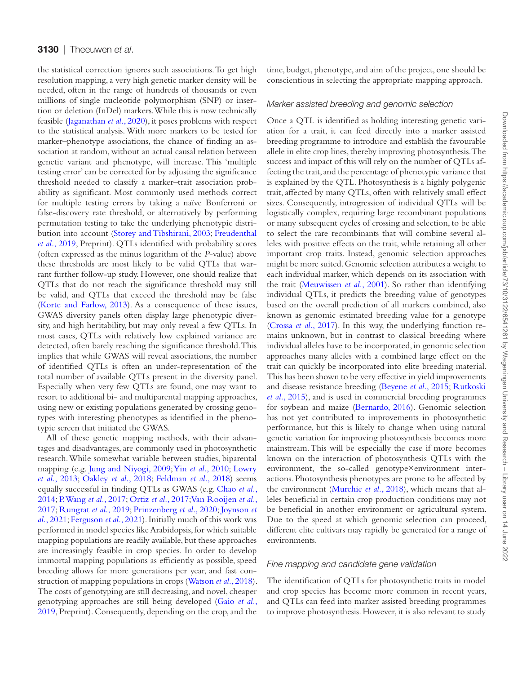the statistical correction ignores such associations. To get high resolution mapping, a very high genetic marker density will be needed, often in the range of hundreds of thousands or even millions of single nucleotide polymorphism (SNP) or insertion or deletion (InDel) markers. While this is now technically feasible ([Jaganathan](#page-13-10) *et al.*, 2020), it poses problems with respect to the statistical analysis. With more markers to be tested for marker–phenotype associations, the chance of finding an association at random, without an actual causal relation between genetic variant and phenotype, will increase. This 'multiple testing error' can be corrected for by adjusting the significance threshold needed to classify a marker–trait association probability as significant. Most commonly used methods correct for multiple testing errors by taking a naïve Bonferroni or false-discovery rate threshold, or alternatively by performing permutation testing to take the underlying phenotypic distribution into account [\(Storey and Tibshirani, 2003](#page-14-26); [Freudenthal](#page-12-29) *et al.*[, 2019](#page-12-29), Preprint). QTLs identified with probability scores (often expressed as the minus logarithm of the *P*-value) above these thresholds are most likely to be valid QTLs that warrant further follow-up study. However, one should realize that QTLs that do not reach the significance threshold may still be valid, and QTLs that exceed the threshold may be false [\(Korte and Farlow, 2013](#page-13-9)). As a consequence of these issues, GWAS diversity panels often display large phenotypic diversity, and high heritability, but may only reveal a few QTLs. In most cases, QTLs with relatively low explained variance are detected, often barely reaching the significance threshold. This implies that while GWAS will reveal associations, the number of identified QTLs is often an under-representation of the total number of available QTLs present in the diversity panel. Especially when very few QTLs are found, one may want to resort to additional bi- and multiparental mapping approaches, using new or existing populations generated by crossing genotypes with interesting phenotypes as identified in the phenotypic screen that initiated the GWAS.

All of these genetic mapping methods, with their advantages and disadvantages, are commonly used in photosynthetic research. While somewhat variable between studies, biparental mapping (e.g. [Jung and Niyogi, 2009](#page-13-6); Yin *et al.*[, 2010;](#page-15-2) [Lowry](#page-13-7) *et al.*[, 2013;](#page-13-7) [Oakley](#page-14-11) *et al.*, 2018; [Feldman](#page-12-10) *et al.*, 2018) seems equally successful in finding QTLs as GWAS (e.g. [Chao](#page-12-7) *et al.*, [2014;](#page-12-7) [P. Wang](#page-14-7) *et al.*, 2017; [Ortiz](#page-14-15) *et al.*, 2017[; Van Rooijen](#page-14-10) *et al.*, [2017;](#page-14-10) [Rungrat](#page-14-2) *et al.*, 2019; [Prinzenberg](#page-14-12) *et al.*, 2020; [Joynson](#page-13-8) *et al.*[, 2021;](#page-13-8) [Ferguson](#page-12-11) *et al.*, 2021). Initially much of this work was performed in model species like Arabidopsis, for which suitable mapping populations are readily available, but these approaches are increasingly feasible in crop species. In order to develop immortal mapping populations as efficiently as possible, speed breeding allows for more generations per year, and fast construction of mapping populations in crops [\(Watson](#page-14-27) *et al.*, 2018). The costs of genotyping are still decreasing, and novel, cheaper genotyping approaches are still being developed [\(Gaio](#page-12-30) *et al.*, [2019,](#page-12-30) Preprint). Consequently, depending on the crop, and the time, budget, phenotype, and aim of the project, one should be conscientious in selecting the appropriate mapping approach.

#### *Marker assisted breeding and genomic selection*

Once a QTL is identified as holding interesting genetic variation for a trait, it can feed directly into a marker assisted breeding programme to introduce and establish the favourable allele in elite crop lines, thereby improving photosynthesis. The success and impact of this will rely on the number of QTLs affecting the trait, and the percentage of phenotypic variance that is explained by the QTL. Photosynthesis is a highly polygenic trait, affected by many QTLs, often with relatively small effect sizes. Consequently, introgression of individual QTLs will be logistically complex, requiring large recombinant populations or many subsequent cycles of crossing and selection, to be able to select the rare recombinants that will combine several alleles with positive effects on the trait, while retaining all other important crop traits. Instead, genomic selection approaches might be more suited. Genomic selection attributes a weight to each individual marker, which depends on its association with the trait [\(Meuwissen](#page-13-32) *et al.*, 2001). So rather than identifying individual QTLs, it predicts the breeding value of genotypes based on the overall prediction of all markers combined, also known as genomic estimated breeding value for a genotype [\(Crossa](#page-12-31) *et al.*, 2017). In this way, the underlying function remains unknown, but in contrast to classical breeding where individual alleles have to be incorporated, in genomic selection approaches many alleles with a combined large effect on the trait can quickly be incorporated into elite breeding material. This has been shown to be very effective in yield improvements and disease resistance breeding ([Beyene](#page-12-32) *et al.*, 2015; [Rutkoski](#page-14-28) *et al.*[, 2015](#page-14-28)), and is used in commercial breeding programmes for soybean and maize [\(Bernardo, 2016\)](#page-12-12). Genomic selection has not yet contributed to improvements in photosynthetic performance, but this is likely to change when using natural genetic variation for improving photosynthesis becomes more mainstream. This will be especially the case if more becomes known on the interaction of photosynthesis QTLs with the environment, the so-called genotype×environment interactions. Photosynthesis phenotypes are prone to be affected by the environment [\(Murchie](#page-13-33) *et al.*, 2018), which means that alleles beneficial in certain crop production conditions may not be beneficial in another environment or agricultural system. Due to the speed at which genomic selection can proceed, different elite cultivars may rapidly be generated for a range of environments.

#### *Fine mapping and candidate gene validation*

The identification of QTLs for photosynthetic traits in model and crop species has become more common in recent years, and QTLs can feed into marker assisted breeding programmes to improve photosynthesis. However, it is also relevant to study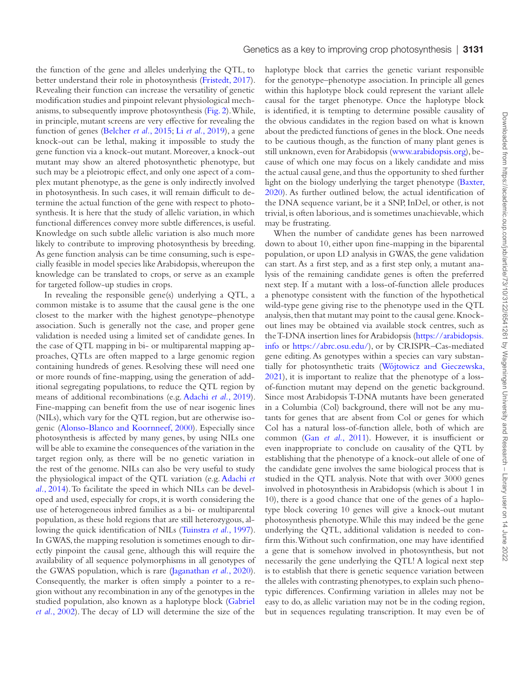the function of the gene and alleles underlying the QTL, to better understand their role in photosynthesis [\(Fristedt, 2017](#page-12-24)). Revealing their function can increase the versatility of genetic modification studies and pinpoint relevant physiological mechanisms, to subsequently improve photosynthesis ([Fig. 2\)](#page-7-0). While, in principle, mutant screens are very effective for revealing the function of genes [\(Belcher](#page-12-33) *et al.*, 2015; Li *et al.*[, 2019\)](#page-13-34), a gene knock-out can be lethal, making it impossible to study the gene function via a knock-out mutant. Moreover, a knock-out mutant may show an altered photosynthetic phenotype, but such may be a pleiotropic effect, and only one aspect of a complex mutant phenotype, as the gene is only indirectly involved in photosynthesis. In such cases, it will remain difficult to determine the actual function of the gene with respect to photosynthesis. It is here that the study of allelic variation, in which functional differences convey more subtle differences, is useful. Knowledge on such subtle allelic variation is also much more likely to contribute to improving photosynthesis by breeding. As gene function analysis can be time consuming, such is especially feasible in model species like Arabidopsis, whereupon the knowledge can be translated to crops, or serve as an example for targeted follow-up studies in crops.

In revealing the responsible gene(s) underlying a QTL, a common mistake is to assume that the causal gene is the one closest to the marker with the highest genotype–phenotype association. Such is generally not the case, and proper gene validation is needed using a limited set of candidate genes. In the case of QTL mapping in bi- or multiparental mapping approaches, QTLs are often mapped to a large genomic region containing hundreds of genes. Resolving these will need one or more rounds of fine-mapping, using the generation of additional segregating populations, to reduce the QTL region by means of additional recombinations (e.g. [Adachi](#page-11-2) *et al.*, 2019). Fine-mapping can benefit from the use of near isogenic lines (NILs), which vary for the QTL region, but are otherwise isogenic ([Alonso-Blanco and Koornneef, 2000](#page-12-34)). Especially since photosynthesis is affected by many genes, by using NILs one will be able to examine the consequences of the variation in the target region only, as there will be no genetic variation in the rest of the genome. NILs can also be very useful to study the physiological impact of the QTL variation (e.g. [Adachi](#page-11-3) *et al.*[, 2014](#page-11-3)). To facilitate the speed in which NILs can be developed and used, especially for crops, it is worth considering the use of heterogeneous inbred families as a bi- or multiparental population, as these hold regions that are still heterozygous, allowing the quick identification of NILs [\(Tuinstra](#page-14-29) *et al.*, 1997). In GWAS, the mapping resolution is sometimes enough to directly pinpoint the causal gene, although this will require the availability of all sequence polymorphisms in all genotypes of the GWAS population, which is rare ([Jaganathan](#page-13-10) *et al.*, 2020). Consequently, the marker is often simply a pointer to a region without any recombination in any of the genotypes in the studied population, also known as a haplotype block ([Gabriel](#page-12-35)  *et al.*[, 2002\)](#page-12-35). The decay of LD will determine the size of the haplotype block that carries the genetic variant responsible for the genotype–phenotype association. In principle all genes within this haplotype block could represent the variant allele causal for the target phenotype. Once the haplotype block is identified, it is tempting to determine possible causality of the obvious candidates in the region based on what is known about the predicted functions of genes in the block. One needs to be cautious though, as the function of many plant genes is still unknown, even for Arabidopsis [\(www.arabidopsis.org\)](http://www.arabidopsis.org), because of which one may focus on a likely candidate and miss the actual causal gene, and thus the opportunity to shed further light on the biology underlying the target phenotype ([Baxter,](#page-12-36) [2020\)](#page-12-36). As further outlined below, the actual identification of the DNA sequence variant, be it a SNP, InDel, or other, is not trivial, is often laborious, and is sometimes unachievable, which may be frustrating.

When the number of candidate genes has been narrowed down to about 10, either upon fine-mapping in the biparental population, or upon LD analysis in GWAS, the gene validation can start. As a first step, and as a first step only, a mutant analysis of the remaining candidate genes is often the preferred next step. If a mutant with a loss-of-function allele produces a phenotype consistent with the function of the hypothetical wild-type gene giving rise to the phenotype used in the QTL analysis, then that mutant may point to the causal gene. Knockout lines may be obtained via available stock centres, such as the T-DNA insertion lines for Arabidopsis [\(https://arabidopsis.](https://arabidopsis.info) [info](https://arabidopsis.info) or [https://abrc.osu.edu/](https://abrc.osu.edu/﻿)), or by CRISPR–Cas-mediated gene editing. As genotypes within a species can vary substantially for photosynthetic traits ([Wójtowicz and Gieczewska,](#page-14-30) [2021\)](#page-14-30), it is important to realize that the phenotype of a lossof-function mutant may depend on the genetic background. Since most Arabidopsis T-DNA mutants have been generated in a Columbia (Col) background, there will not be any mutants for genes that are absent from Col or genes for which Col has a natural loss-of-function allele, both of which are common (Gan *et al.*[, 2011\)](#page-12-37). However, it is insufficient or even inappropriate to conclude on causality of the QTL by establishing that the phenotype of a knock-out allele of one of the candidate gene involves the same biological process that is studied in the QTL analysis. Note that with over 3000 genes involved in photosynthesis in Arabidopsis (which is about 1 in 10), there is a good chance that one of the genes of a haplotype block covering 10 genes will give a knock-out mutant photosynthesis phenotype. While this may indeed be the gene underlying the QTL, additional validation is needed to confirm this. Without such confirmation, one may have identified a gene that is somehow involved in photosynthesis, but not necessarily the gene underlying the QTL! A logical next step is to establish that there is genetic sequence variation between the alleles with contrasting phenotypes, to explain such phenotypic differences. Confirming variation in alleles may not be easy to do, as allelic variation may not be in the coding region, but in sequences regulating transcription. It may even be of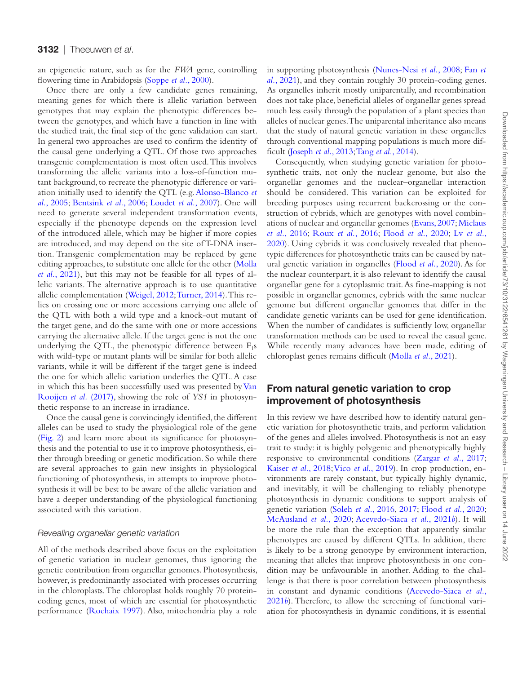an epigenetic nature, such as for the *FWA* gene, controlling flowering time in Arabidopsis ([Soppe](#page-14-31) *et al.*, 2000).

Once there are only a few candidate genes remaining, meaning genes for which there is allelic variation between genotypes that may explain the phenotypic differences between the genotypes, and which have a function in line with the studied trait, the final step of the gene validation can start. In general two approaches are used to confirm the identity of the causal gene underlying a QTL. Of those two approaches transgenic complementation is most often used. This involves transforming the allelic variants into a loss-of-function mutant background, to recreate the phenotypic difference or variation initially used to identify the QTL (e.g. [Alonso-Blanco](#page-11-4) *et al.*[, 2005;](#page-11-4) [Bentsink](#page-12-38) *et al.*, 2006; [Loudet](#page-13-35) *et al.*, 2007). One will need to generate several independent transformation events, especially if the phenotype depends on the expression level of the introduced allele, which may be higher if more copies are introduced, and may depend on the site of T-DNA insertion. Transgenic complementation may be replaced by gene editing approaches, to substitute one allele for the other ([Molla](#page-13-36) *et al.*[, 2021\)](#page-13-36), but this may not be feasible for all types of allelic variants. The alternative approach is to use quantitative allelic complementation [\(Weigel, 2012;](#page-14-32) [Turner, 2014](#page-14-33)). This relies on crossing one or more accessions carrying one allele of the QTL with both a wild type and a knock-out mutant of the target gene, and do the same with one or more accessions carrying the alternative allele. If the target gene is not the one underlying the QTL, the phenotypic difference between  $F_1s$ with wild-type or mutant plants will be similar for both allelic variants, while it will be different if the target gene is indeed the one for which allelic variation underlies the QTL. A case in which this has been successfully used was presented by [Van](#page-14-10) [Rooijen](#page-14-10) *et al.* (2017), showing the role of *YS1* in photosynthetic response to an increase in irradiance.

Once the causal gene is convincingly identified, the different alleles can be used to study the physiological role of the gene [\(Fig. 2\)](#page-7-0) and learn more about its significance for photosynthesis and the potential to use it to improve photosynthesis, either through breeding or genetic modification. So while there are several approaches to gain new insights in physiological functioning of photosynthesis, in attempts to improve photosynthesis it will be best to be aware of the allelic variation and have a deeper understanding of the physiological functioning associated with this variation.

#### *Revealing organellar genetic variation*

All of the methods described above focus on the exploitation of genetic variation in nuclear genomes, thus ignoring the genetic contribution from organellar genomes. Photosynthesis, however, is predominantly associated with processes occurring in the chloroplasts. The chloroplast holds roughly 70 proteincoding genes, most of which are essential for photosynthetic performance [\(Rochaix 1997\)](#page-14-34). Also, mitochondria play a role in supporting photosynthesis [\(Nunes-Nesi](#page-14-35) *et al.*, 2008; [Fan](#page-12-39) *et al.*[, 2021\)](#page-12-39), and they contain roughly 30 protein-coding genes. As organelles inherit mostly uniparentally, and recombination does not take place, beneficial alleles of organellar genes spread much less easily through the population of a plant species than alleles of nuclear genes. The uniparental inheritance also means that the study of natural genetic variation in these organelles through conventional mapping populations is much more difficult ([Joseph](#page-13-37) *et al.*, 2013; Tang *et al.*[, 2014\)](#page-14-36).

Consequently, when studying genetic variation for photosynthetic traits, not only the nuclear genome, but also the organellar genomes and the nuclear–organellar interaction should be considered. This variation can be exploited for breeding purposes using recurrent backcrossing or the construction of cybrids, which are genotypes with novel combinations of nuclear and organellar genomes ([Evans, 2007](#page-12-40); [Miclaus](#page-13-38) *et al.*[, 2016;](#page-13-38) [Roux](#page-14-37) *et al.*, 2016; [Flood](#page-12-41) *et al.*, 2020; Lv *[et al.](#page-13-39)*, [2020\)](#page-13-39). Using cybrids it was conclusively revealed that phenotypic differences for photosynthetic traits can be caused by natural genetic variation in organelles ([Flood](#page-12-41) *et al.*, 2020). As for the nuclear counterpart, it is also relevant to identify the causal organellar gene for a cytoplasmic trait. As fine-mapping is not possible in organellar genomes, cybrids with the same nuclear genome but different organellar genomes that differ in the candidate genetic variants can be used for gene identification. When the number of candidates is sufficiently low, organellar transformation methods can be used to reveal the casual gene. While recently many advances have been made, editing of chloroplast genes remains difficult [\(Molla](#page-13-36) *et al.*, 2021).

# From natural genetic variation to crop improvement of photosynthesis

In this review we have described how to identify natural genetic variation for photosynthetic traits, and perform validation of the genes and alleles involved. Photosynthesis is not an easy trait to study: it is highly polygenic and phenotypically highly responsive to environmental conditions ([Zargar](#page-15-9) *et al.*, 2017; [Kaiser](#page-13-40) *et al.*, 2018; Vico *et al.*[, 2019](#page-14-38)). In crop production, environments are rarely constant, but typically highly dynamic, and inevitably, it will be challenging to reliably phenotype photosynthesis in dynamic conditions to support analysis of genetic variation [\(Soleh](#page-14-0) *et al.*, 2016, [2017](#page-14-1); [Flood](#page-12-41) *et al.*, 2020; [McAusland](#page-13-3) *et al.*, 2020; [Acevedo-Siaca](#page-11-5) *et al.*, 2021*b*). It will be more the rule than the exception that apparently similar phenotypes are caused by different QTLs. In addition, there is likely to be a strong genotype by environment interaction, meaning that alleles that improve photosynthesis in one condition may be unfavourable in another. Adding to the challenge is that there is poor correlation between photosynthesis in constant and dynamic conditions ([Acevedo-Siaca](#page-11-5) *et al.*, [2021](#page-11-5)*b*). Therefore, to allow the screening of functional variation for photosynthesis in dynamic conditions, it is essential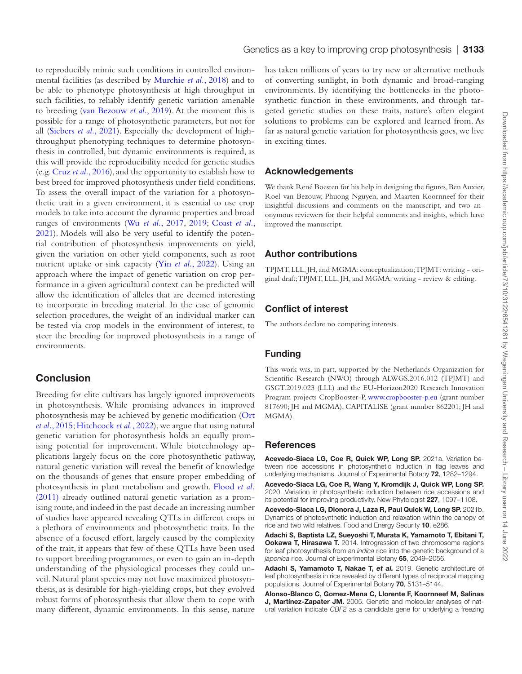to reproducibly mimic such conditions in controlled environmental facilities (as described by [Murchie](#page-13-33) *et al.*, 2018) and to be able to phenotype photosynthesis at high throughput in such facilities, to reliably identify genetic variation amenable to breeding ([van Bezouw](#page-14-17) *et al.*, 2019). At the moment this is possible for a range of photosynthetic parameters, but not for all [\(Siebers](#page-14-39) *et al.*, 2021). Especially the development of highthroughput phenotyping techniques to determine photosynthesis in controlled, but dynamic environments is required, as this will provide the reproducibility needed for genetic studies (e.g. Cruz *et al.*[, 2016\)](#page-12-42), and the opportunity to establish how to best breed for improved photosynthesis under field conditions. To assess the overall impact of the variation for a photosynthetic trait in a given environment, it is essential to use crop models to take into account the dynamic properties and broad ranges of environments (Wu *et al.*[, 2017,](#page-14-40) [2019;](#page-15-10) [Coast](#page-12-43) *et al.*, [2021\)](#page-12-43). Models will also be very useful to identify the potential contribution of photosynthesis improvements on yield, given the variation on other yield components, such as root nutrient uptake or sink capacity (Yin *et al.*[, 2022\)](#page-15-11). Using an approach where the impact of genetic variation on crop performance in a given agricultural context can be predicted will allow the identification of alleles that are deemed interesting to incorporate in breeding material. In the case of genomic selection procedures, the weight of an individual marker can be tested via crop models in the environment of interest, to steer the breeding for improved photosynthesis in a range of environments.

# **Conclusion**

Breeding for elite cultivars has largely ignored improvements in photosynthesis. While promising advances in improved photosynthesis may be achieved by genetic modification [\(Ort](#page-14-25) *et al.*[, 2015;](#page-14-25) [Hitchcock](#page-13-41) *et al.*, 2022), we argue that using natural genetic variation for photosynthesis holds an equally promising potential for improvement. While biotechnology applications largely focus on the core photosynthetic pathway, natural genetic variation will reveal the benefit of knowledge on the thousands of genes that ensure proper embedding of photosynthesis in plant metabolism and growth. [Flood](#page-12-1) *et al.* [\(2011\)](#page-12-1) already outlined natural genetic variation as a promising route, and indeed in the past decade an increasing number of studies have appeared revealing QTLs in different crops in a plethora of environments and photosynthetic traits. In the absence of a focused effort, largely caused by the complexity of the trait, it appears that few of these QTLs have been used to support breeding programmes, or even to gain an in-depth understanding of the physiological processes they could unveil. Natural plant species may not have maximized photosynthesis, as is desirable for high-yielding crops, but they evolved robust forms of photosynthesis that allow them to cope with many different, dynamic environments. In this sense, nature

has taken millions of years to try new or alternative methods of converting sunlight, in both dynamic and broad-ranging environments. By identifying the bottlenecks in the photosynthetic function in these environments, and through targeted genetic studies on these traits, nature's often elegant solutions to problems can be explored and learned from. As far as natural genetic variation for photosynthesis goes, we live in exciting times.

## Acknowledgements

We thank René Boesten for his help in designing the figures, Ben Auxier, Roel van Bezouw, Phuong Nguyen, and Maarten Koornneef for their insightful discussions and comments on the manuscript, and two anonymous reviewers for their helpful comments and insights, which have improved the manuscript.

#### Author contributions

TPJMT, LLL, JH, and MGMA: conceptualization; TPJMT: writing - original draft; TPJMT, LLL, JH, and MGMA: writing - review & editing.

#### Conflict of interest

The authors declare no competing interests.

#### Funding

This work was, in part, supported by the Netherlands Organization for Scientific Research (NWO) through ALWGS.2016.012 (TPJMT) and GSGT.2019.023 (LLL) and the EU-Horizon2020 Research Innovation Program projects CropBooster-P, [www.cropbooster-p.eu](http://www.cropbooster-p.eu) (grant number 817690; JH and MGMA), CAPITALISE (grant number 862201; JH and MGMA).

#### References

<span id="page-11-1"></span>Acevedo-Siaca LG, Coe R, Quick WP, Long SP. 2021a. Variation between rice accessions in photosynthetic induction in flag leaves and underlying mechanisms. Journal of Experimental Botany 72, 1282-1294.

<span id="page-11-0"></span>Acevedo-Siaca LG, Coe R, Wang Y, Kromdijk J, Quick WP, Long SP. 2020. Variation in photosynthetic induction between rice accessions and its potential for improving productivity. New Phytologist 227, 1097–1108.

<span id="page-11-5"></span>Acevedo-Siaca LG, Dionora J, Laza R, Paul Quick W, Long SP. 2021b. Dynamics of photosynthetic induction and relaxation within the canopy of rice and two wild relatives. Food and Energy Security 10, e286.

<span id="page-11-3"></span>Adachi S, Baptista LZ, Sueyoshi T, Murata K, Yamamoto T, Ebitani T, **Ookawa T, Hirasawa T.** 2014. Introgression of two chromosome regions for leaf photosynthesis from an *indica* rice into the genetic background of a *japonica* rice. Journal of Experimental Botany 65, 2049–2056.

<span id="page-11-2"></span>Adachi S, Yamamoto T, Nakae T, et al. 2019. Genetic architecture of leaf photosynthesis in rice revealed by different types of reciprocal mapping populations. Journal of Experimental Botany 70, 5131–5144.

<span id="page-11-4"></span>Alonso-Blanco C, Gomez-Mena C, Llorente F, Koornneef M, Salinas J, Martínez-Zapater JM. 2005. Genetic and molecular analyses of natural variation indicate *CBF2* as a candidate gene for underlying a freezing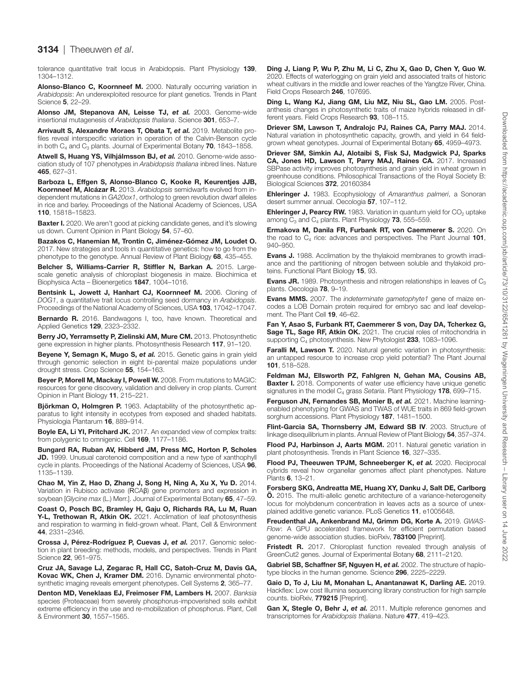## 3134 | Theeuwen *et al*.

tolerance quantitative trait locus in Arabidopsis. Plant Physiology 139, 1304–1312.

<span id="page-12-34"></span>Alonso-Blanco C, Koornneef M. 2000. Naturally occurring variation in *Arabidopsis*: An underexploited resource for plant genetics. Trends in Plant Science 5, 22–29.

<span id="page-12-9"></span>Alonso JM, Stepanova AN, Leisse TJ, *et al.* 2003. Genome-wide insertional mutagenesis of *Arabidopsis thaliana*. Science 301, 653–7.

<span id="page-12-2"></span>Arrivault S, Alexandre Moraes T, Obata T, *et al.* 2019. Metabolite profiles reveal interspecific variation in operation of the Calvin-Benson cycle in both  $C_4$  and  $C_3$  plants. Journal of Experimental Botany 70, 1843–1858.

<span id="page-12-26"></span>Atwell S, Huang YS, Vilhjálmsson BJ, *et al.* 2010. Genome-wide association study of 107 phenotypes in *Arabidopsis thaliana* inbred lines. Nature 465, 627–31.

<span id="page-12-28"></span>Barboza L, Effgen S, Alonso-Blanco C, Kooke R, Keurentjes JJB, Koornneef M, Alcázar R. 2013. *Arabidopsis* semidwarfs evolved from independent mutations in *GA20ox1*, ortholog to green revolution dwarf alleles in rice and barley. Proceedings of the National Academy of Sciences, USA 110, 15818–15823.

<span id="page-12-36"></span>**Baxter I.** 2020. We aren't good at picking candidate genes, and it's slowing us down. Current Opinion in Plant Biology 54, 57–60.

<span id="page-12-13"></span>Bazakos C, Hanemian M, Trontin C, Jiménez-Gómez JM, Loudet O. 2017. New strategies and tools in quantitative genetics: how to go from the phenotype to the genotype. Annual Review of Plant Biology 68, 435–455.

<span id="page-12-33"></span>Belcher S, Williams-Carrier R, Stiffler N, Barkan A. 2015. Largescale genetic analysis of chloroplast biogenesis in maize. Biochimica et Biophysica Acta – Bioenergetics 1847, 1004–1016.

<span id="page-12-38"></span>Bentsink L, Jowett J, Hanhart CJ, Koornneef M. 2006. Cloning of *DOG1*, a quantitative trait locus controlling seed dormancy in *Arabidopsis*. Proceedings of the National Academy of Sciences, USA 103, 17042-17047.

<span id="page-12-12"></span>Bernardo R. 2016. Bandwagons I, too, have known. Theoretical and Applied Genetics 129, 2323–2332.

<span id="page-12-5"></span>Berry JO, Yerramsetty P, Zielinski AM, Mure CM. 2013. Photosynthetic gene expression in higher plants. Photosynthesis Research 117, 91–120.

<span id="page-12-32"></span>Beyene Y, Semagn K, Mugo S, et al. 2015. Genetic gains in grain yield through genomic selection in eight bi-parental maize populations under drought stress. Crop Science 55, 154–163.

<span id="page-12-14"></span>Beyer P, Morell M, Mackay I, Powell W. 2008. From mutations to MAGIC: resources for gene discovery, validation and delivery in crop plants. Current Opinion in Plant Biology 11, 215–221.

<span id="page-12-0"></span>Björkman O, Holmgren P. 1963. Adaptability of the photosynthetic apparatus to light intensity in ecotypes from exposed and shaded habitats. Physiologia Plantarum 16, 889–914.

<span id="page-12-8"></span>Boyle EA, Li YI, Pritchard JK. 2017. An expanded view of complex traits: from polygenic to omnigenic. Cell 169, 1177-1186.

<span id="page-12-4"></span>Bungard RA, Ruban AV, Hibberd JM, Press MC, Horton P, Scholes JD. 1999. Unusual carotenoid composition and a new type of xanthophyll cycle in plants. Proceedings of the National Academy of Sciences, USA 96, 1135–1139.

<span id="page-12-7"></span>Chao M, Yin Z, Hao D, Zhang J, Song H, Ning A, Xu X, Yu D. 2014. Variation in Rubisco activase (RCAβ) gene promoters and expression in soybean [*Glycine max* (L.) Merr.]. Journal of Experimental Botany 65, 47–59.

<span id="page-12-43"></span>Coast O, Posch BC, Bramley H, Gaju O, Richards RA, Lu M, Ruan Y-L, Trethowan R, Atkin OK. 2021. Acclimation of leaf photosynthesis and respiration to warming in field-grown wheat. Plant, Cell & Environment 44, 2331–2346.

<span id="page-12-31"></span>Crossa J, Pérez-Rodríguez P, Cuevas J, *et al.* 2017. Genomic selection in plant breeding: methods, models, and perspectives. Trends in Plant Science 22, 961–975.

<span id="page-12-42"></span>Cruz JA, Savage LJ, Zegarac R, Hall CC, Satoh-Cruz M, Davis GA, Kovac WK, Chen J, Kramer DM. 2016. Dynamic environmental photosynthetic imaging reveals emergent phenotypes. Cell Systems 2, 365–77.

<span id="page-12-15"></span>Denton MD, Veneklaas EJ, Freimoser FM, Lambers H. 2007. *Banksia* species (Proteaceae) from severely phosphorus-impoverished soils exhibit extreme efficiency in the use and re-mobilization of phosphorus. Plant, Cell & Environment 30, 1557–1565.

<span id="page-12-22"></span>Ding J, Liang P, Wu P, Zhu M, Li C, Zhu X, Gao D, Chen Y, Guo W. 2020. Effects of waterlogging on grain yield and associated traits of historic wheat cultivars in the middle and lower reaches of the Yangtze River, China. Field Crops Research 246, 107695.

<span id="page-12-23"></span>Ding L, Wang KJ, Jiang GM, Liu MZ, Niu SL, Gao LM. 2005. Postanthesis changes in photosynthetic traits of maize hybrids released in different years. Field Crops Research 93, 108–115.

<span id="page-12-6"></span>Driever SM, Lawson T, Andralojc PJ, Raines CA, Parry MAJ. 2014. Natural variation in photosynthetic capacity, growth, and yield in 64 fieldgrown wheat genotypes. Journal of Experimental Botany 65, 4959-4973.

<span id="page-12-20"></span>Driever SM, Simkin AJ, Alotaibi S, Fisk SJ, Madgwick PJ, Sparks CA, Jones HD, Lawson T, Parry MAJ, Raines CA. 2017. Increased SBPase activity improves photosynthesis and grain yield in wheat grown in greenhouse conditions. Philosophical Transactions of the Royal Society B: Biological Sciences 372, 20160384

<span id="page-12-19"></span>Ehleringer J. 1983. Ecophysiology of *Amaranthus palmeri*, a Sonoran desert summer annual. Oecologia 57, 107–112.

<span id="page-12-17"></span>**Ehleringer J, Pearcy RW.** 1983. Variation in quantum yield for  $CO<sub>2</sub>$  uptake among  $C_3$  and  $C_4$  plants. Plant Physiology 73, 555–559.

<span id="page-12-21"></span>Ermakova M, Danila FR, Furbank RT, von Caemmerer S. 2020. On the road to  $C_4$  rice: advances and perspectives. The Plant Journal 101, 940–950.

<span id="page-12-18"></span>Evans J. 1988. Acclimation by the thylakoid membranes to growth irradiance and the partitioning of nitrogen between soluble and thylakoid proteins. Functional Plant Biology 15, 93.

<span id="page-12-16"></span>**Evans JR.** 1989. Photosynthesis and nitrogen relationships in leaves of  $C_3$ plants. Oecologia 78, 9–19.

<span id="page-12-40"></span>**Evans MMS.** 2007. The *indeterminate gametophyte1* gene of maize encodes a LOB Domain protein required for embryo sac and leaf development. The Plant Cell 19, 46–62.

<span id="page-12-39"></span>Fan Y, Asao S, Furbank RT, Caemmerer S von, Day DA, Tcherkez G, Sage TL, Sage RF, Atkin OK. 2021. The crucial roles of mitochondria in supporting C<sub>4</sub> photosynthesis. New Phytologist 233, 1083-1096.

<span id="page-12-3"></span>Faralli M, Lawson T. 2020. Natural genetic variation in photosynthesis: an untapped resource to increase crop yield potential? The Plant Journal 101, 518–528.

<span id="page-12-10"></span>Feldman MJ, Ellsworth PZ, Fahlgren N, Gehan MA, Cousins AB, **Baxter I.** 2018. Components of water use efficiency have unique genetic signatures in the model C<sub>4</sub> grass *Setaria*. Plant Physiology 178, 699-715.

<span id="page-12-11"></span>Ferguson JN, Fernandes SB, Monier B, *et al.* 2021. Machine learningenabled phenotyping for GWAS and TWAS of WUE traits in 869 field-grown sorghum accessions. Plant Physiology 187, 1481–1500.

<span id="page-12-25"></span>Flint-Garcia SA, Thornsberry JM, Edward SB IV. 2003. Structure of linkage disequilibrium in plants. Annual Review of Plant Biology 54, 357–374.

<span id="page-12-1"></span>Flood PJ, Harbinson J, Aarts MGM. 2011. Natural genetic variation in plant photosynthesis. Trends in Plant Science 16, 327–335.

<span id="page-12-41"></span>Flood PJ, Theeuwen TPJM, Schneeberger K, *et al.* 2020. Reciprocal cybrids reveal how organellar genomes affect plant phenotypes. Nature Plants 6, 13–21.

<span id="page-12-27"></span>Forsberg SKG, Andreatta ME, Huang XY, Danku J, Salt DE, Carlborg **Ö.** 2015. The multi-allelic genetic architecture of a variance-heterogeneity locus for molybdenum concentration in leaves acts as a source of unexplained additive genetic variance. PLoS Genetics 11, e1005648.

<span id="page-12-29"></span>Freudenthal JA, Ankenbrand MJ, Grimm DG, Korte A. 2019. *GWAS-Flow*: A GPU accelerated framework for efficient permutation based genome-wide association studies. bioRxiv, 783100 [Preprint].

<span id="page-12-24"></span>Fristedt R. 2017. Chloroplast function revealed through analysis of GreenCut2 genes. Journal of Experimental Botany 68, 2111–2120.

<span id="page-12-35"></span>Gabriel SB, Schaffner SF, Nguyen H, et al. 2002. The structure of haplotype blocks in the human genome. Science 296, 2225–2229.

<span id="page-12-30"></span>Gaio D, To J, Liu M, Monahan L, Anantanawat K, Darling AE. 2019. Hackflex: Low cost Illumina sequencing library construction for high sample counts. bioRxiv, 779215 [Preprint].

<span id="page-12-37"></span>Gan X, Stegle O, Behr J, et al. 2011. Multiple reference genomes and transcriptomes for *Arabidopsis thaliana*. Nature 477, 419–423.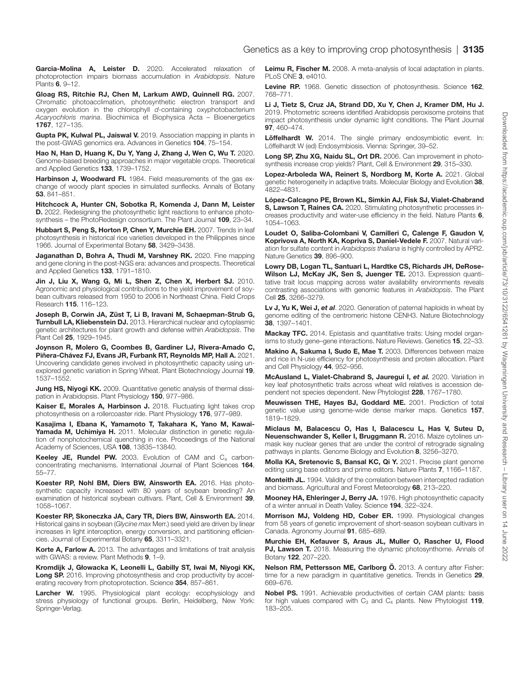<span id="page-13-21"></span>Garcia-Molina A, Leister D. 2020. Accelerated relaxation of photoprotection impairs biomass accumulation in *Arabidopsis*. Nature Plants 6, 9–12.

<span id="page-13-2"></span>Gloag RS, Ritchie RJ, Chen M, Larkum AWD, Quinnell RG. 2007. Chromatic photoacclimation, photosynthetic electron transport and oxygen evolution in the chlorophyll *d*-containing oxyphotobacterium *Acaryochloris marina*. Biochimica et Biophysica Acta – Bioenergetics 1767, 127–135.

<span id="page-13-29"></span>Gupta PK, Kulwal PL, Jaiswal V. 2019. Association mapping in plants in the post-GWAS genomics era. Advances in Genetics 104, 75–154.

<span id="page-13-30"></span>Hao N, Han D, Huang K, Du Y, Yang J, Zhang J, Wen C, Wu T. 2020. Genome-based breeding approaches in major vegetable crops. Theoretical and Applied Genetics 133, 1739–1752.

<span id="page-13-15"></span>Harbinson J, Woodward FI. 1984. Field measurements of the gas exchange of woody plant species in simulated sunflecks. Annals of Botany 53, 841–851.

<span id="page-13-41"></span>Hitchcock A, Hunter CN, Sobotka R, Komenda J, Dann M, Leister D. 2022. Redesigning the photosynthetic light reactions to enhance photosynthesis – the PhotoRedesign consortium. The Plant Journal 109, 23–34.

<span id="page-13-22"></span>Hubbart S, Peng S, Horton P, Chen Y, Murchie EH. 2007. Trends in leaf photosynthesis in historical rice varieties developed in the Philippines since 1966. Journal of Experimental Botany 58, 3429–3438.

<span id="page-13-10"></span>Jaganathan D, Bohra A, Thudi M, Varshney RK. 2020. Fine mapping and gene cloning in the post-NGS era: advances and prospects. Theoretical and Applied Genetics 133, 1791–1810.

<span id="page-13-24"></span>Jin J, Liu X, Wang G, Mi L, Shen Z, Chen X, Herbert SJ. 2010. Agronomic and physiological contributions to the yield improvement of soybean cultivars released from 1950 to 2006 in Northeast China. Field Crops Research 115, 116–123.

<span id="page-13-37"></span>Joseph B, Corwin JA, Züst T, Li B, Iravani M, Schaepman-Strub G, **Turnbull LA, Kliebenstein DJ.** 2013. Hierarchical nuclear and cytoplasmic genetic architectures for plant growth and defense within *Arabidopsis*. The Plant Cell 25, 1929–1945.

<span id="page-13-8"></span>Joynson R, Molero G, Coombes B, Gardiner LJ, Rivera-Amado C, Piñera-Chávez FJ, Evans JR, Furbank RT, Reynolds MP, Hall A. 2021. Uncovering candidate genes involved in photosynthetic capacity using unexplored genetic variation in Spring Wheat. Plant Biotechnology Journal 19, 1537–1552.

<span id="page-13-6"></span>Jung HS, Niyogi KK. 2009. Quantitative genetic analysis of thermal dissipation in Arabidopsis. Plant Physiology 150, 977–986.

<span id="page-13-40"></span>Kaiser E, Morales A, Harbinson J. 2018. Fluctuating light takes crop photosynthesis on a rollercoaster ride. Plant Physiology 176, 977–989.

<span id="page-13-4"></span>Kasajima I, Ebana K, Yamamoto T, Takahara K, Yano M, Kawai-Yamada M, Uchimiya H. 2011. Molecular distinction in genetic regulation of nonphotochemical quenching in rice. Proceedings of the National Academy of Sciences, USA 108, 13835–13840.

<span id="page-13-1"></span>**Keeley JE, Rundel PW.** 2003. Evolution of CAM and  $C_4$  carbonconcentrating mechanisms. International Journal of Plant Sciences 164, 55–77.

<span id="page-13-26"></span>Koester RP, Nohl BM, Diers BW, Ainsworth EA. 2016. Has photosynthetic capacity increased with 80 years of soybean breeding? An examination of historical soybean cultivars. Plant, Cell & Environment 39, 1058–1067.

<span id="page-13-25"></span>Koester RP, Skoneczka JA, Cary TR, Diers BW, Ainsworth EA. 2014. Historical gains in soybean (*Glycine max* Merr.) seed yield are driven by linear increases in light interception, energy conversion, and partitioning efficiencies. Journal of Experimental Botany 65, 3311–3321.

<span id="page-13-9"></span>Korte A, Farlow A. 2013. The advantages and limitations of trait analysis with GWAS: a review. Plant Methods 9, 1–9.

<span id="page-13-19"></span>Kromdijk J, Głowacka K, Leonelli L, Gabilly ST, Iwai M, Niyogi KK, Long SP. 2016. Improving photosynthesis and crop productivity by accelerating recovery from photoprotection. Science 354, 857–861.

<span id="page-13-14"></span>Larcher W. 1995. Physiological plant ecology: ecophysiology and stress physiology of functional groups. Berlin, Heidelberg, New York: Springer-Verlag.

<span id="page-13-17"></span>Leimu R, Fischer M. 2008. A meta-analysis of local adaptation in plants. PLoS ONE 3, e4010.

<span id="page-13-5"></span>Levine RP. 1968. Genetic dissection of photosynthesis. Science 162, 768–771.

<span id="page-13-34"></span>Li J, Tietz S, Cruz JA, Strand DD, Xu Y, Chen J, Kramer DM, Hu J. 2019. Photometric screens identified Arabidopsis peroxisome proteins that impact photosynthesis under dynamic light conditions. The Plant Journal 97, 460–474.

<span id="page-13-0"></span>Löffelhardt W. 2014. The single primary endosymbiotic event. In: Löffelhardt W (ed) Endosymbiosis. Vienna: Springer, 39–52.

<span id="page-13-12"></span>Long SP, Zhu XG, Naidu SL, Ort DR. 2006. Can improvement in photosynthesis increase crop yields? Plant, Cell & Environment 29, 315–330.

<span id="page-13-31"></span>Lopez-Arboleda WA, Reinert S, Nordborg M, Korte A. 2021. Global genetic heterogeneity in adaptive traits. Molecular Biology and Evolution 38, 4822–4831.

<span id="page-13-20"></span>López-Calcagno PE, Brown KL, Simkin AJ, Fisk SJ, Vialet-Chabrand S, Lawson T, Raines CA. 2020. Stimulating photosynthetic processes increases productivity and water-use efficiency in the field. Nature Plants 6, 1054–1063.

<span id="page-13-35"></span>Loudet O, Saliba-Colombani V, Camilleri C, Calenge F, Gaudon V, Koprivova A, North KA, Kopriva S, Daniel-Vedele F. 2007. Natural variation for sulfate content in *Arabidopsis thaliana* is highly controlled by APR2. Nature Genetics 39, 896–900.

<span id="page-13-7"></span>Lowry DB, Logan TL, Santuari L, Hardtke CS, Richards JH, DeRose-Wilson LJ, McKay JK, Sen S, Juenger TE. 2013. Expression quantitative trait locus mapping across water availability environments reveals contrasting associations with genomic features in *Arabidopsis*. The Plant Cell 25, 3266–3279.

<span id="page-13-39"></span>Lv J, Yu K, Wei J, *et al*. 2020. Generation of paternal haploids in wheat by genome editing of the centromeric histone CENH3. Nature Biotechnology 38, 1397–1401.

<span id="page-13-27"></span>Mackay TFC. 2014. Epistasis and quantitative traits: Using model organisms to study gene–gene interactions. Nature Reviews. Genetics 15, 22–33.

<span id="page-13-16"></span>Makino A, Sakuma I, Sudo E, Mae T. 2003. Differences between maize and rice in N-use efficiency for photosynthesis and protein allocation. Plant and Cell Physiology 44, 952–956.

<span id="page-13-3"></span>McAusland L, Vialet-Chabrand S, Jauregui I, *et al.* 2020. Variation in key leaf photosynthetic traits across wheat wild relatives is accession dependent not species dependent. New Phytologist 228, 1767–1780.

<span id="page-13-32"></span>Meuwissen THE, Hayes BJ, Goddard ME. 2001. Prediction of total genetic value using genome-wide dense marker maps. Genetics 157, 1819–1829.

<span id="page-13-38"></span>Miclaus M, Balacescu O, Has I, Balacescu L, Has V, Suteu D, Neuenschwander S, Keller I, Bruggmann R. 2016. Maize cytolines unmask key nuclear genes that are under the control of retrograde signaling pathways in plants. Genome Biology and Evolution 8, 3256–3270.

<span id="page-13-36"></span>Molla KA, Sretenovic S, Bansal KC, Qi Y. 2021. Precise plant genome editing using base editors and prime editors. Nature Plants 7, 1166–1187.

<span id="page-13-11"></span>Monteith JL. 1994. Validity of the correlation between intercepted radiation and biomass. Agricultural and Forest Meteorology 68, 213–220.

<span id="page-13-18"></span>Mooney HA, Ehleringer J, Berry JA. 1976. High photosynthetic capacity of a winter annual in Death Valley. Science 194, 322–324.

<span id="page-13-23"></span>Morrison MJ, Voldeng HD, Cober ER. 1999. Physiological changes from 58 years of genetic improvement of short-season soybean cultivars in Canada. Agronomy Journal 91, 685–689.

<span id="page-13-33"></span>Murchie EH, Kefauver S, Araus JL, Muller O, Rascher U, Flood PJ, Lawson T. 2018. Measuring the dynamic photosynthome. Annals of Botany 122, 207–220.

<span id="page-13-28"></span>Nelson RM, Pettersson ME, Carlborg Ö. 2013. A century after Fisher: time for a new paradigm in quantitative genetics. Trends in Genetics 29, 669–676.

<span id="page-13-13"></span>Nobel PS. 1991. Achievable productivities of certain CAM plants: basis for high values compared with  $C_3$  and  $C_4$  plants. New Phytologist 119, 183–205.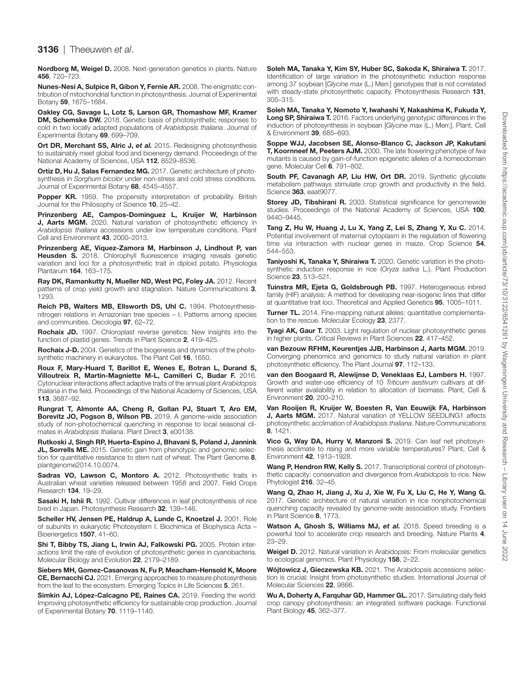#### 3136 | Theeuwen *et al*.

<span id="page-14-16"></span>Nordborg M, Weigel D. 2008. Next-generation genetics in plants. Nature 456, 720–723.

<span id="page-14-35"></span>Nunes-Nesi A, Sulpice R, Gibon Y, Fernie AR. 2008. The enigmatic contribution of mitochondrial function in photosynthesis. Journal of Experimental Botany 59, 1675–1684.

<span id="page-14-11"></span>Oakley CG, Savage L, Lotz S, Larson GR, Thomashow MF, Kramer DM, Schemske DW. 2018. Genetic basis of photosynthetic responses to cold in two locally adapted populations of *Arabidopsis thaliana*. Journal of Experimental Botany 69, 699–709.

<span id="page-14-25"></span>Ort DR, Merchant SS, Alric J, et al. 2015. Redesigning photosynthesis to sustainably meet global food and bioenergy demand. Proceedings of the National Academy of Sciences, USA 112, 8529–8536.

<span id="page-14-15"></span>Ortiz D, Hu J, Salas Fernandez MG. 2017. Genetic architecture of photosynthesis in *Sorghum bicolor* under non-stress and cold stress conditions. Journal of Experimental Botany 68, 4545–4557.

<span id="page-14-21"></span>Popper KR. 1959. The propensity interpretation of probability. British Journal for the Philosophy of Science 10, 25–42.

<span id="page-14-12"></span>Prinzenberg AE, Campos-Dominguez L, Kruijer W, Harbinson J, Aarts MGM. 2020. Natural variation of photosynthetic efficiency in *Arabidopsis thaliana* accessions under low temperature conditions. Plant Cell and Environment 43, 2000–2013.

<span id="page-14-5"></span>Prinzenberg AE, Víquez-Zamora M, Harbinson J, Lindhout P, van Heusden S. 2018. Chlorophyll fluorescence imaging reveals genetic variation and loci for a photosynthetic trait in diploid potato. Physiologia Plantarum 164, 163–175.

<span id="page-14-18"></span>Ray DK, Ramankutty N, Mueller ND, West PC, Foley JA. 2012. Recent patterns of crop yield growth and stagnation. Nature Communications 3, 1293.

<span id="page-14-20"></span>Reich PB, Walters MB, Ellsworth DS, Uhl C. 1994. Photosynthesisnitrogen relations in Amazonian tree species – I. Patterns among species and communities. Oecologia 97, 62–72.

<span id="page-14-34"></span>Rochaix JD. 1997. Chloroplast reverse genetics: New insights into the function of plastid genes. Trends in Plant Science 2, 419–425.

<span id="page-14-14"></span>Rochaix J-D. 2004. Genetics of the biogenesis and dynamics of the photosynthetic machinery in eukaryotes. The Plant Cell 16, 1650.

<span id="page-14-37"></span>Roux F, Mary-Huard T, Barillot E, Wenes E, Botran L, Durand S, Villoutreix R, Martin-Magniette M-L, Camilleri C, Budar F. 2016. Cytonuclear interactions affect adaptive traits of the annual plant *Arabidopsis thaliana* in the field. Proceedings of the National Academy of Sciences, USA 113, 3687–92.

<span id="page-14-2"></span>Rungrat T, Almonte AA, Cheng R, Gollan PJ, Stuart T, Aro EM, Borevitz JO, Pogson B, Wilson PB. 2019. A genome-wide association study of non-photochemical quenching in response to local seasonal climates in *Arabidopsis thaliana*. Plant Direct 3, e00138.

<span id="page-14-28"></span>Rutkoski J, Singh RP, Huerta-Espino J, Bhavani S, Poland J, Jannink JL, Sorrells ME. 2015. Genetic gain from phenotypic and genomic selection for quantitative resistance to stem rust of wheat. The Plant Genome 8, plantgenome2014.10.0074.

<span id="page-14-24"></span>Sadras VO, Lawson C, Montoro A. 2012. Photosynthetic traits in Australian wheat varieties released between 1958 and 2007. Field Crops Research 134, 19–29.

<span id="page-14-23"></span>Sasaki H, Ishii R. 1992. Cultivar differences in leaf photosynthesis of rice bred in Japan. Photosynthesis Research 32, 139–146.

<span id="page-14-13"></span>Scheller HV, Jensen PE, Haldrup A, Lunde C, Knoetzel J. 2001. Role of subunits in eukaryotic Photosystem I. Biochimica et Biophysica Acta – Bioenergetics 1507, 41–60.

<span id="page-14-4"></span>Shi T, Bibby TS, Jiang L, Irwin AJ, Falkowski PG. 2005. Protein interactions limit the rate of evolution of photosynthetic genes in cyanobacteria. Molecular Biology and Evolution 22, 2179–2189.

<span id="page-14-39"></span>Siebers MH, Gomez-Casanovas N, Fu P, Meacham-Hensold K, Moore CE, Bernacchi CJ. 2021. Emerging approaches to measure photosynthesis from the leaf to the ecosystem. Emerging Topics in Life Sciences 5, 261.

<span id="page-14-8"></span>Simkin AJ, López-Calcagno PE, Raines CA. 2019. Feeding the world: Improving photosynthetic efficiency for sustainable crop production. Journal of Experimental Botany 70, 1119–1140.

<span id="page-14-1"></span>Soleh MA, Tanaka Y, Kim SY, Huber SC, Sakoda K, Shiraiwa T. 2017. Identification of large variation in the photosynthetic induction response among 37 soybean [*Glycine max* (L.) Merr.] genotypes that is not correlated with steady-state photosynthetic capacity. Photosynthesis Research 131, 305–315.

<span id="page-14-0"></span>Soleh MA, Tanaka Y, Nomoto Y, Iwahashi Y, Nakashima K, Fukuda Y, Long SP, Shiraiwa T. 2016. Factors underlying genotypic differences in the induction of photosynthesis in soybean [*Glycine max* (L.) Merr.]. Plant, Cell & Environment 39, 685–693.

<span id="page-14-31"></span>Soppe WJJ, Jacobsen SE, Alonso-Blanco C, Jackson JP, Kakutani T, Koornneef M, Peeters AJM. 2000. The late flowering phenotype of *fwa* mutants is caused by gain-of-function epigenetic alleles of a homeodomain gene. Molecular Cell 6, 791–802.

<span id="page-14-22"></span>South PF, Cavanagh AP, Liu HW, Ort DR. 2019. Synthetic glycolate metabolism pathways stimulate crop growth and productivity in the field. Science 363, eaat9077.

<span id="page-14-26"></span>Storey JD, Tibshirani R. 2003. Statistical significance for genomewide studies. Proceedings of the National Academy of Sciences, USA 100, 9440–9445.

<span id="page-14-36"></span>Tang Z, Hu W, Huang J, Lu X, Yang Z, Lei S, Zhang Y, Xu C. 2014. Potential involvement of maternal cytoplasm in the regulation of flowering time via interaction with nuclear genes in maize. Crop Science 54, 544–553.

<span id="page-14-6"></span>Taniyoshi K, Tanaka Y, Shiraiwa T. 2020. Genetic variation in the photosynthetic induction response in rice (*Oryza sativa* L.). Plant Production Science 23, 513–521.

<span id="page-14-29"></span>Tuinstra MR, Ejeta G, Goldsbrough PB. 1997. Heterogeneous inbred family (HIF) analysis: A method for developing near-isogenic lines that differ at quantitative trait loci. Theoretical and Applied Genetics 95, 1005–1011.

<span id="page-14-33"></span>**Turner TL.** 2014. Fine-mapping natural alleles: quantitative complementation to the rescue. Molecular Ecology 23, 2377.

<span id="page-14-3"></span>Tyagi AK, Gaur T. 2003. Light regulation of nuclear photosynthetic genes in higher plants. Critical Reviews in Plant Sciences 22, 417–452.

<span id="page-14-17"></span>van Bezouw RFHM, Keurentjes JJB, Harbinson J, Aarts MGM. 2019. Converging phenomics and genomics to study natural variation in plant photosynthetic efficiency. The Plant Journal 97, 112–133.

<span id="page-14-19"></span>van den Boogaard R, Alewijnse D, Veneklaas EJ, Lambers H. 1997. Growth and water-use efficiency of 10 *Triticum aestivum* cultivars at different water availability in relation to allocation of biomass. Plant, Cell & Environment 20, 200–210.

<span id="page-14-10"></span>Van Rooijen R, Kruijer W, Boesten R, Van Eeuwijk FA, Harbinson **J. Aarts MGM.** 2017. Natural variation of YELLOW SEEDLING1 affects photosynthetic acclimation of *Arabidopsis thaliana*. Nature Communications 8, 1421.

<span id="page-14-38"></span>Vico G, Way DA, Hurry V, Manzoni S. 2019. Can leaf net photosynthesis acclimate to rising and more variable temperatures? Plant, Cell & Environment 42, 1913–1928.

<span id="page-14-7"></span>Wang P, Hendron RW, Kelly S. 2017. Transcriptional control of photosynthetic capacity: conservation and divergence from *Arabidopsis* to rice. New Phytologist 216, 32-45.

<span id="page-14-9"></span>Wang Q, Zhao H, Jiang J, Xu J, Xie W, Fu X, Liu C, He Y, Wang G. 2017. Genetic architecture of natural variation in rice nonphotochemical quenching capacity revealed by genome-wide association study. Frontiers in Plant Science 8, 1773.

<span id="page-14-27"></span>Watson A, Ghosh S, Williams MJ, et al. 2018. Speed breeding is a powerful tool to accelerate crop research and breeding. Nature Plants 4, 23–29.

<span id="page-14-32"></span>Weigel D. 2012. Natural variation in Arabidopsis: From molecular genetics to ecological genomics. Plant Physiology 158, 2–22.

<span id="page-14-30"></span>Wójtowicz J, Gieczewska KB. 2021. The Arabidopsis accessions selection is crucial: Insight from photosynthetic studies. International Journal of Molecular Sciences 22, 9866.

<span id="page-14-40"></span>Wu A, Doherty A, Farquhar GD, Hammer GL. 2017. Simulating daily field crop canopy photosynthesis: an integrated software package. Functional Plant Biology 45, 362–377.